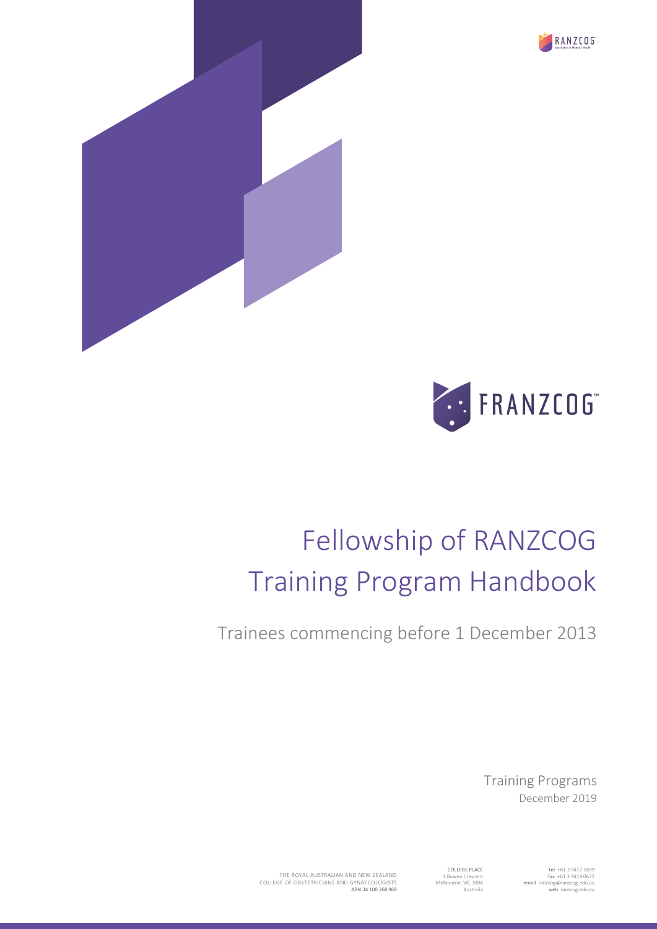





# Fellowship of RANZCOG Training Program Handbook

Trainees commencing before 1 December 2013

Training Programs December 2019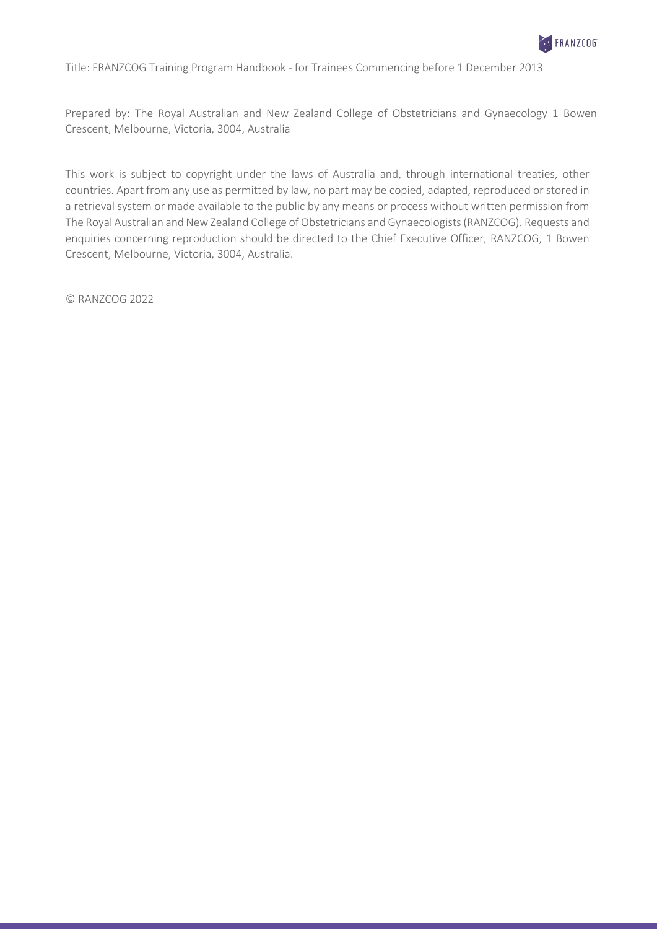

Title: FRANZCOG Training Program Handbook - for Trainees Commencing before 1 December 2013

Prepared by: The Royal Australian and New Zealand College of Obstetricians and Gynaecology 1 Bowen Crescent, Melbourne, Victoria, 3004, Australia

This work is subject to copyright under the laws of Australia and, through international treaties, other countries. Apart from any use as permitted by law, no part may be copied, adapted, reproduced or stored in a retrieval system or made available to the public by any means or process without written permission from The Royal Australian and NewZealand College of Obstetricians and Gynaecologists(RANZCOG). Requests and enquiries concerning reproduction should be directed to the Chief Executive Officer, RANZCOG, 1 Bowen Crescent, Melbourne, Victoria, 3004, Australia.

© RANZCOG 2022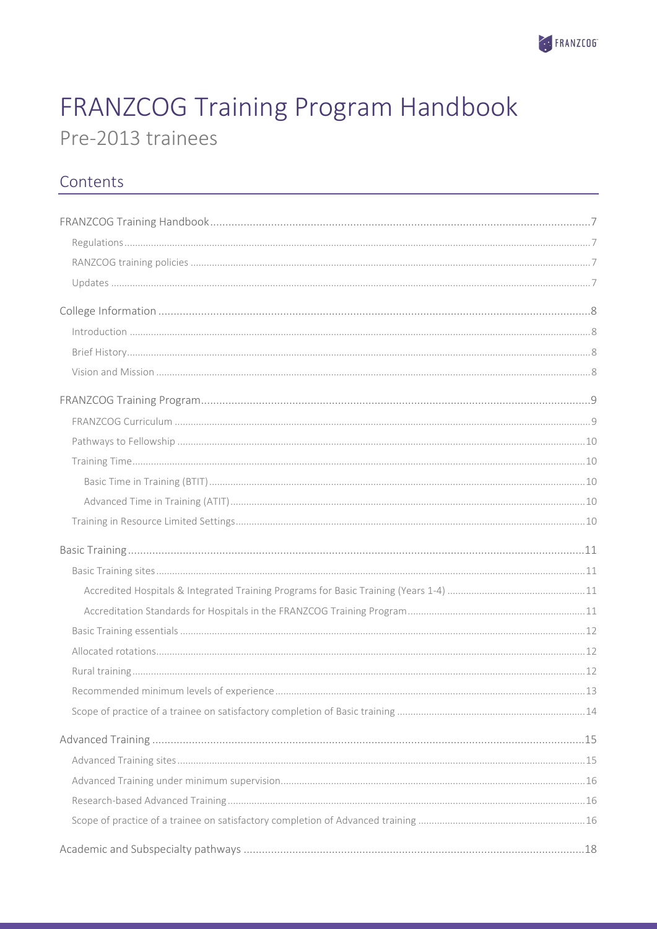

# FRANZCOG Training Program Handbook Pre-2013 trainees

## Contents

| $\int_0^{\pi} \frac{1}{2} \int_0^{\pi} \frac{1}{2} \int_0^{\pi} \frac{1}{2} \int_0^{\pi} \frac{1}{2} \int_0^{\pi} \frac{1}{2} \int_0^{\pi} \frac{1}{2} \int_0^{\pi} \frac{1}{2} \int_0^{\pi} \frac{1}{2} \int_0^{\pi} \frac{1}{2} \int_0^{\pi} \frac{1}{2} \int_0^{\pi} \frac{1}{2} \int_0^{\pi} \frac{1}{2} \int_0^{\pi} \frac{1}{2} \int_0^{\pi} \frac{1}{2} \int_0^{\pi} \frac$ |  |
|------------------------------------------------------------------------------------------------------------------------------------------------------------------------------------------------------------------------------------------------------------------------------------------------------------------------------------------------------------------------------------|--|
|                                                                                                                                                                                                                                                                                                                                                                                    |  |
|                                                                                                                                                                                                                                                                                                                                                                                    |  |
|                                                                                                                                                                                                                                                                                                                                                                                    |  |
|                                                                                                                                                                                                                                                                                                                                                                                    |  |
|                                                                                                                                                                                                                                                                                                                                                                                    |  |
|                                                                                                                                                                                                                                                                                                                                                                                    |  |
|                                                                                                                                                                                                                                                                                                                                                                                    |  |
|                                                                                                                                                                                                                                                                                                                                                                                    |  |
|                                                                                                                                                                                                                                                                                                                                                                                    |  |
|                                                                                                                                                                                                                                                                                                                                                                                    |  |
|                                                                                                                                                                                                                                                                                                                                                                                    |  |
|                                                                                                                                                                                                                                                                                                                                                                                    |  |
|                                                                                                                                                                                                                                                                                                                                                                                    |  |
|                                                                                                                                                                                                                                                                                                                                                                                    |  |
|                                                                                                                                                                                                                                                                                                                                                                                    |  |
|                                                                                                                                                                                                                                                                                                                                                                                    |  |
|                                                                                                                                                                                                                                                                                                                                                                                    |  |
|                                                                                                                                                                                                                                                                                                                                                                                    |  |
|                                                                                                                                                                                                                                                                                                                                                                                    |  |
|                                                                                                                                                                                                                                                                                                                                                                                    |  |
|                                                                                                                                                                                                                                                                                                                                                                                    |  |
|                                                                                                                                                                                                                                                                                                                                                                                    |  |
|                                                                                                                                                                                                                                                                                                                                                                                    |  |
|                                                                                                                                                                                                                                                                                                                                                                                    |  |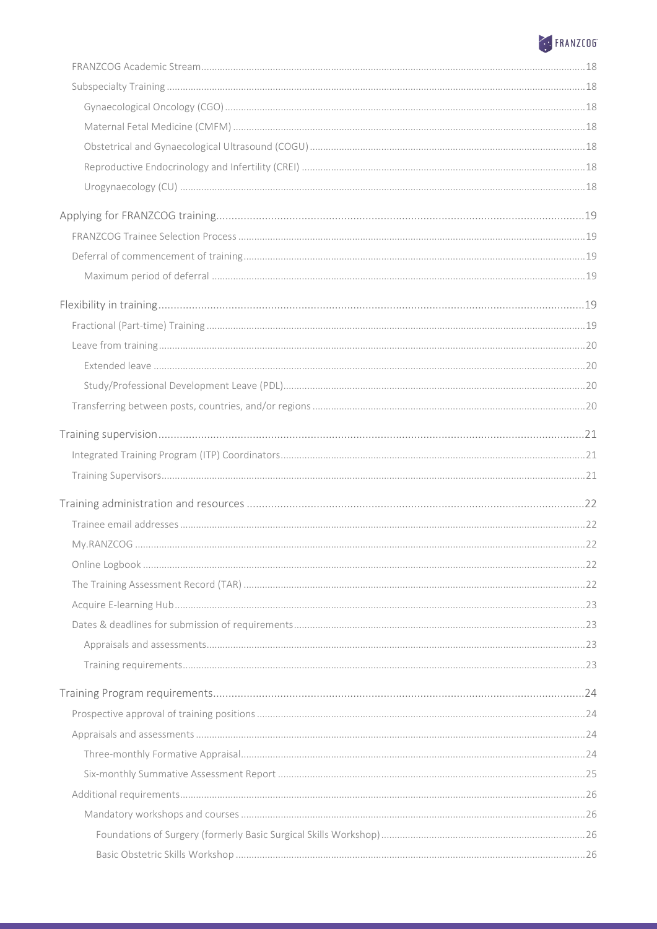# ERANZCO6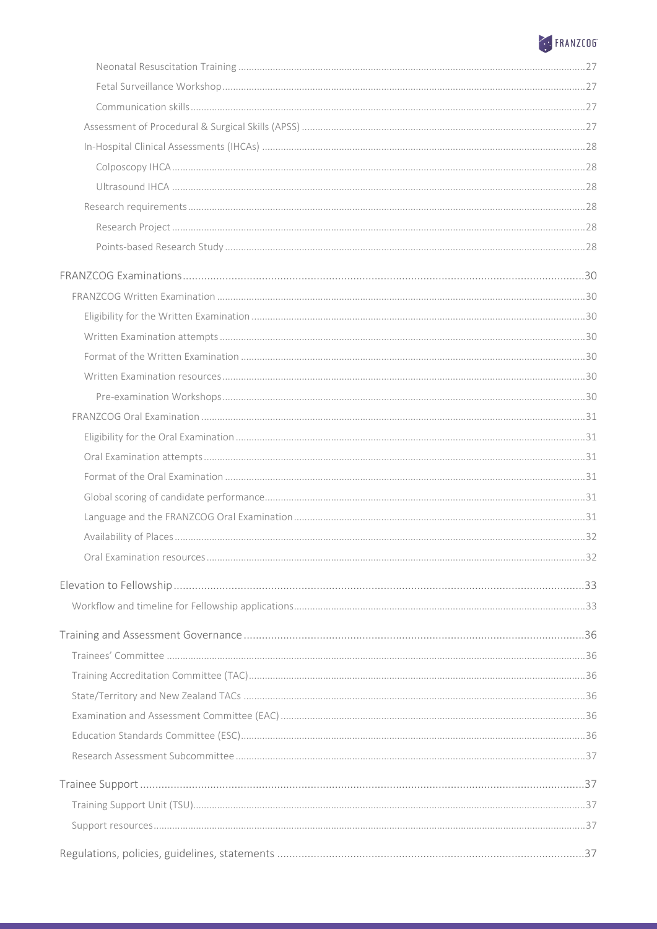# ERANZCO6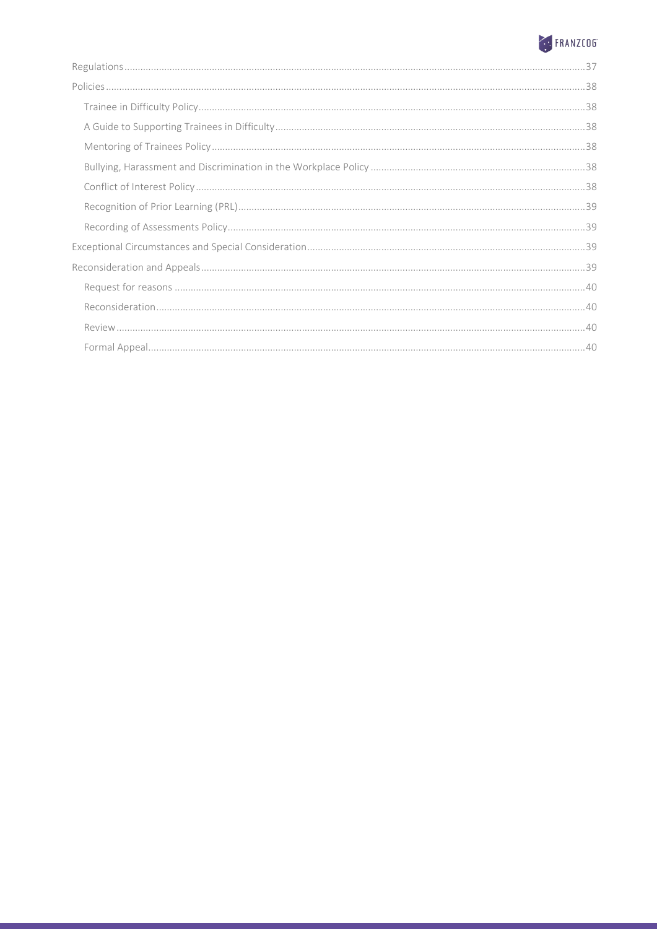# ERANZCO6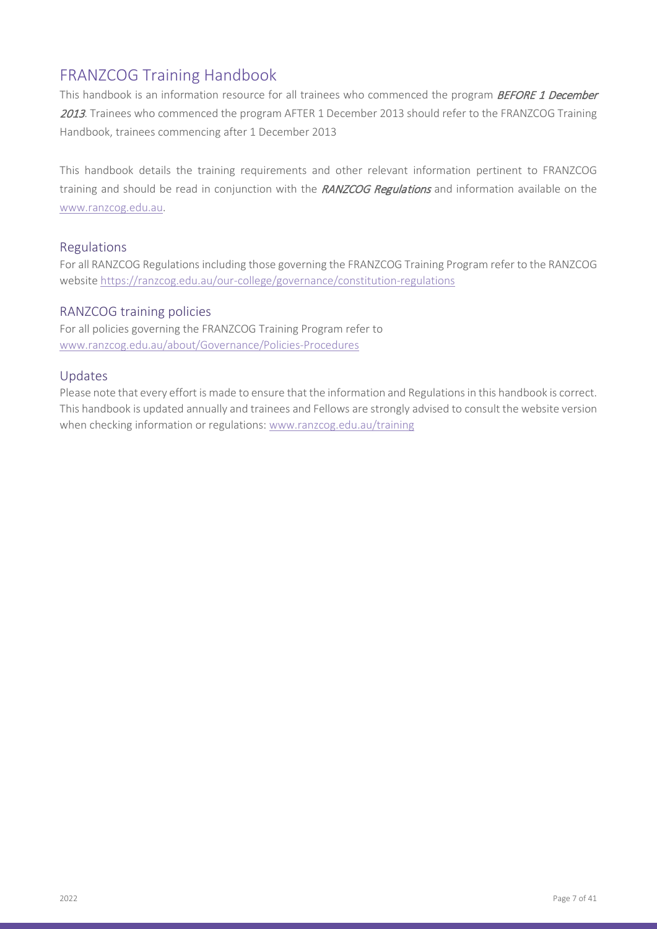### <span id="page-6-0"></span>FRANZCOG Training Handbook

This handbook is an information resource for all trainees who commenced the program BEFORE 1 December 2013. Trainees who commenced the program AFTER 1 December 2013 should refer to the FRANZCOG Training Handbook, trainees commencing after 1 December 2013

This handbook details the training requirements and other relevant information pertinent to FRANZCOG training and should be read in conjunction with the RANZCOG Regulations and information available on the [www.ranzcog.edu.au.](http://www.ranzcog.edu.au/)

#### <span id="page-6-1"></span>Regulations

For all RANZCOG Regulations including those governing the FRANZCOG Training Program refer to the RANZCOG website<https://ranzcog.edu.au/our-college/governance/constitution-regulations>

#### <span id="page-6-2"></span>RANZCOG training policies

For all policies governing the FRANZCOG Training Program refer to [www.ranzcog.edu.au/about/Governance/Policies-Procedures](http://www.ranzcog.edu.au/about/Governance/Policies-Procedures)

#### <span id="page-6-3"></span>Updates

Please note that every effort is made to ensure that the information and Regulations in this handbook is correct. This handbook is updated annually and trainees and Fellows are strongly advised to consult the website version when checking information or regulations: [www.ranzcog.edu.au/training](http://www.ranzcog.edu.au/training)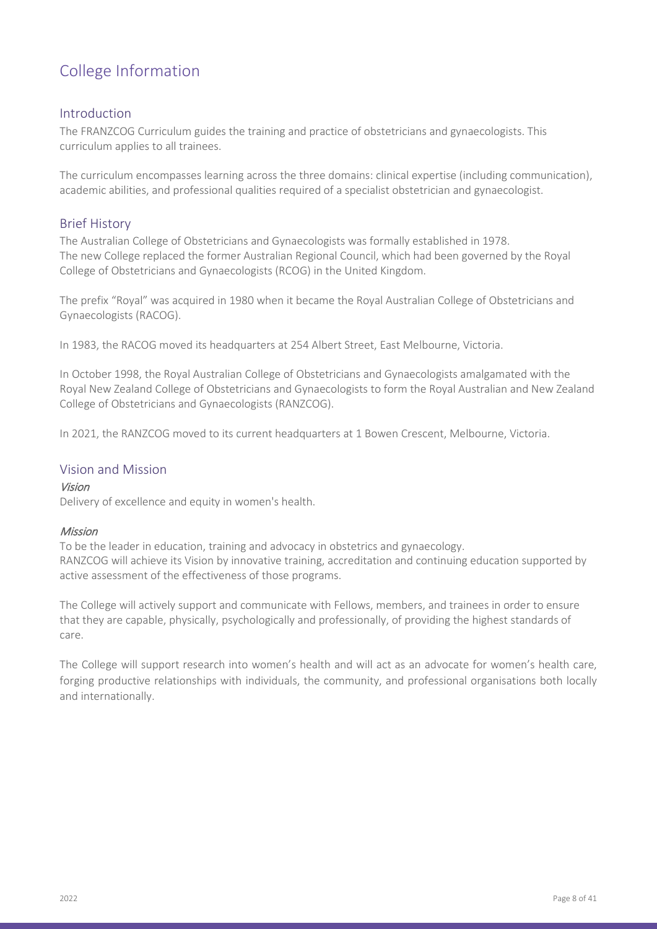## <span id="page-7-0"></span>College Information

#### <span id="page-7-1"></span>Introduction

The FRANZCOG Curriculum guides the training and practice of obstetricians and gynaecologists. This curriculum applies to all trainees.

The curriculum encompasses learning across the three domains: clinical expertise (including communication), academic abilities, and professional qualities required of a specialist obstetrician and gynaecologist.

### <span id="page-7-2"></span>Brief History

The Australian College of Obstetricians and Gynaecologists was formally established in 1978. The new College replaced the former Australian Regional Council, which had been governed by the Royal College of Obstetricians and Gynaecologists (RCOG) in the United Kingdom.

The prefix "Royal" was acquired in 1980 when it became the Royal Australian College of Obstetricians and Gynaecologists (RACOG).

In 1983, the RACOG moved its headquarters at 254 Albert Street, East Melbourne, Victoria.

In October 1998, the Royal Australian College of Obstetricians and Gynaecologists amalgamated with the Royal New Zealand College of Obstetricians and Gynaecologists to form the Royal Australian and New Zealand College of Obstetricians and Gynaecologists (RANZCOG).

In 2021, the RANZCOG moved to its current headquarters at 1 Bowen Crescent, Melbourne, Victoria.

#### <span id="page-7-3"></span>Vision and Mission

#### Vision

Delivery of excellence and equity in women's health.

#### Mission

To be the leader in education, training and advocacy in obstetrics and gynaecology. RANZCOG will achieve its Vision by innovative training, accreditation and continuing education supported by active assessment of the effectiveness of those programs.

The College will actively support and communicate with Fellows, members, and trainees in order to ensure that they are capable, physically, psychologically and professionally, of providing the highest standards of care.

The College will support research into women's health and will act as an advocate for women's health care, forging productive relationships with individuals, the community, and professional organisations both locally and internationally.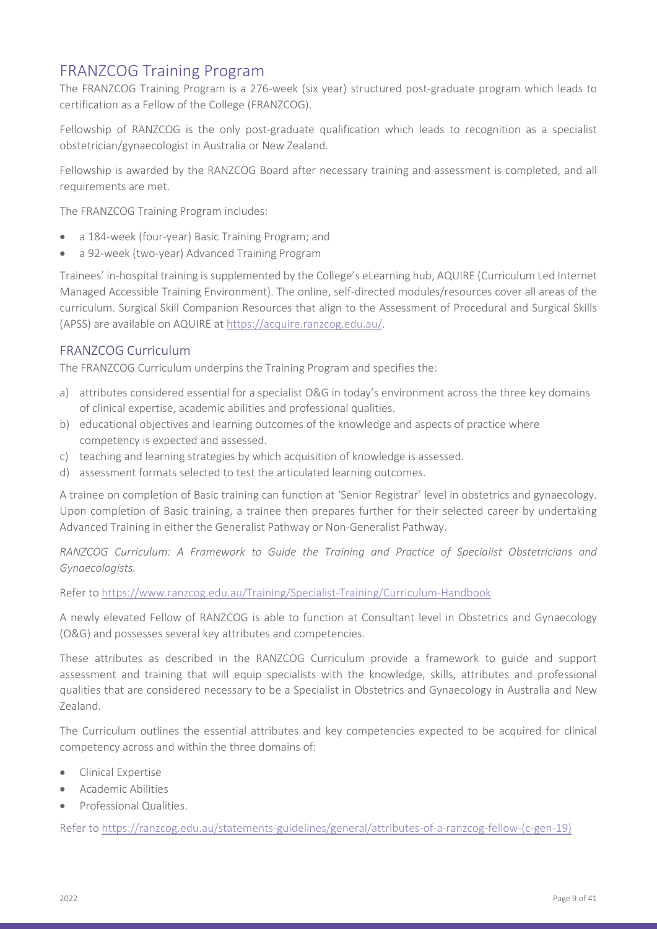### <span id="page-8-0"></span>FRANZCOG Training Program

The FRANZCOG Training Program is a 276-week (six year) structured post-graduate program which leads to certification as a Fellow of the College (FRANZCOG).

Fellowship of RANZCOG is the only post-graduate qualification which leads to recognition as a specialist obstetrician/gynaecologist in Australia or New Zealand.

Fellowship is awarded by the RANZCOG Board after necessary training and assessment is completed, and all requirements are met.

The FRANZCOG Training Program includes:

- a 184-week (four-year) Basic Training Program; and
- a 92-week (two-year) Advanced Training Program

Trainees' in-hospital training is supplemented by the College's eLearning hub, AQUIRE (Curriculum Led Internet Managed Accessible Training Environment). The online, self-directed modules/resources cover all areas of the curriculum. Surgical Skill Companion Resources that align to the Assessment of Procedural and Surgical Skills (APSS) are available on AQUIRE at [https://acquire.ranzcog.edu.au/.](https://acquire.ranzcog.edu.au/)

#### <span id="page-8-1"></span>FRANZCOG Curriculum

The FRANZCOG Curriculum underpins the Training Program and specifies the:

- a) attributes considered essential for a specialist O&G in today's environment across the three key domains of clinical expertise, academic abilities and professional qualities.
- b) educational objectives and learning outcomes of the knowledge and aspects of practice where competency is expected and assessed.
- c) teaching and learning strategies by which acquisition of knowledge is assessed.
- d) assessment formats selected to test the articulated learning outcomes.

A trainee on completion of Basic training can function at 'Senior Registrar' level in obstetrics and gynaecology. Upon completion of Basic training, a trainee then prepares further for their selected career by undertaking Advanced Training in either the Generalist Pathway or Non-Generalist Pathway.

*RANZCOG Curriculum: A Framework to Guide the Training and Practice of Specialist Obstetricians and Gynaecologists.*

Refer to<https://www.ranzcog.edu.au/Training/Specialist-Training/Curriculum-Handbook>

A newly elevated Fellow of RANZCOG is able to function at Consultant level in Obstetrics and Gynaecology (O&G) and possesses several key attributes and competencies.

These attributes as described in the RANZCOG Curriculum provide a framework to guide and support assessment and training that will equip specialists with the knowledge, skills, attributes and professional qualities that are considered necessary to be a Specialist in Obstetrics and Gynaecology in Australia and New Zealand.

The Curriculum outlines the essential attributes and key competencies expected to be acquired for clinical competency across and within the three domains of:

- Clinical Expertise
- Academic Abilities
- Professional Qualities.

Refer to [https://ranzcog.edu.au/statements-guidelines/general/attributes-of-a-ranzcog-fellow-\(c-gen-19\)](https://ranzcog.edu.au/statements-guidelines/general/attributes-of-a-ranzcog-fellow-(c-gen-19))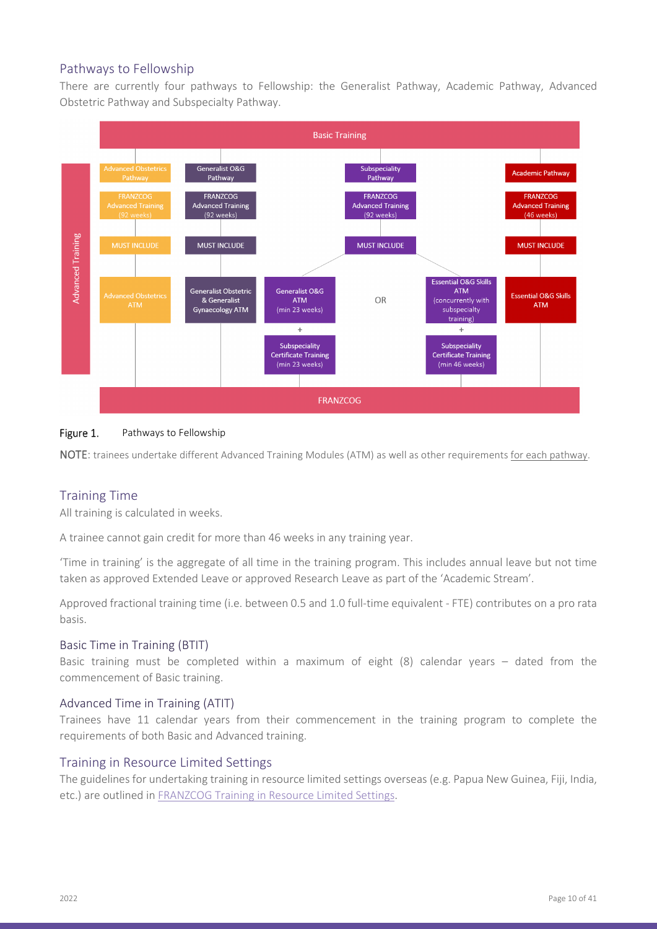### <span id="page-9-0"></span>Pathways to Fellowship

There are currently four pathways to Fellowship: the Generalist Pathway, Academic Pathway, Advanced Obstetric Pathway and Subspecialty Pathway.



#### Figure 1. Pathways to Fellowship

NOTE: trainees undertake different Advanced Training Modules (ATM) as well as other requirements for each pathway.

#### <span id="page-9-1"></span>Training Time

All training is calculated in weeks.

A trainee cannot gain credit for more than 46 weeks in any training year.

'Time in training' is the aggregate of all time in the training program. This includes annual leave but not time taken as approved Extended Leave or approved Research Leave as part of the 'Academic Stream'.

Approved fractional training time (i.e. between 0.5 and 1.0 full-time equivalent - FTE) contributes on a pro rata basis.

#### <span id="page-9-2"></span>Basic Time in Training (BTIT)

Basic training must be completed within a maximum of eight (8) calendar years – dated from the commencement of Basic training.

#### <span id="page-9-3"></span>Advanced Time in Training (ATIT)

Trainees have 11 calendar years from their commencement in the training program to complete the requirements of both Basic and Advanced training.

#### <span id="page-9-4"></span>Training in Resource Limited Settings

The guidelines for undertaking training in resource limited settings overseas (e.g. Papua New Guinea, Fiji, India, etc.) are outlined in [FRANZCOG Training in Resource Limited Settings.](https://ranzcog.edu.au/RANZCOG_SITE/media/RANZCOG-MEDIA/Training%20and%20Assessment/Specialist%20Training/Training%20Requirements/Guidelines-for-Training-in-resource-limited-settings.pdf)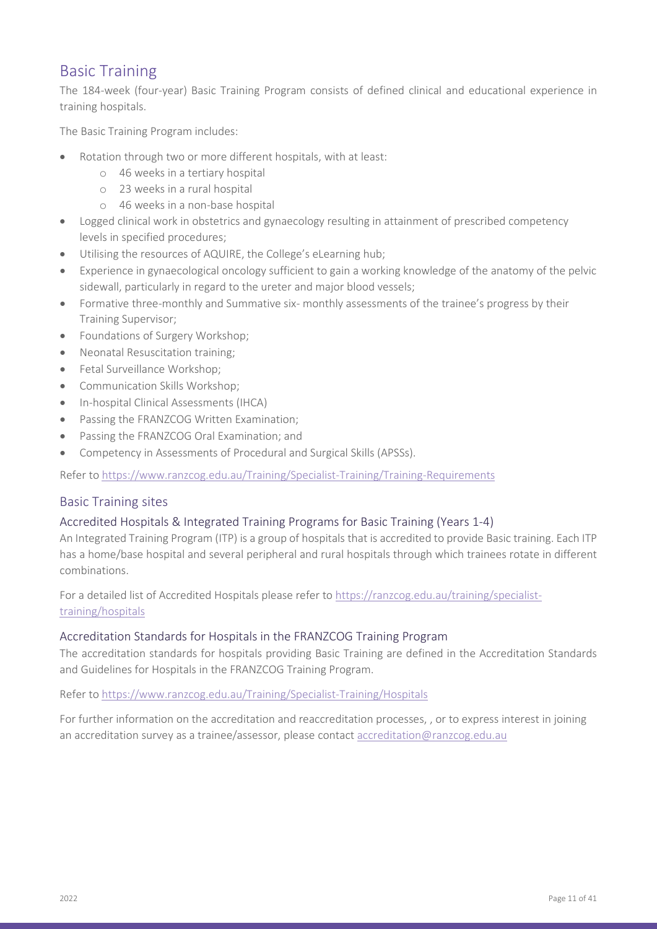### <span id="page-10-0"></span>Basic Training

The 184-week (four-year) Basic Training Program consists of defined clinical and educational experience in training hospitals.

The Basic Training Program includes:

- Rotation through two or more different hospitals, with at least:
	- o 46 weeks in a tertiary hospital
	- o 23 weeks in a rural hospital
	- o 46 weeks in a non-base hospital
- Logged clinical work in obstetrics and gynaecology resulting in attainment of prescribed competency levels in specified procedures;
- Utilising the resources of AQUIRE, the College's eLearning hub;
- Experience in gynaecological oncology sufficient to gain a working knowledge of the anatomy of the pelvic sidewall, particularly in regard to the ureter and major blood vessels;
- Formative three-monthly and Summative six- monthly assessments of the trainee's progress by their Training Supervisor;
- Foundations of Surgery Workshop;
- Neonatal Resuscitation training;
- Fetal Surveillance Workshop;
- Communication Skills Workshop;
- In-hospital Clinical Assessments (IHCA)
- Passing the FRANZCOG Written Examination:
- Passing the FRANZCOG Oral Examination; and
- Competency in Assessments of Procedural and Surgical Skills (APSSs).

Refer to <https://www.ranzcog.edu.au/Training/Specialist-Training/Training-Requirements>

#### <span id="page-10-1"></span>Basic Training sites

#### <span id="page-10-2"></span>Accredited Hospitals & Integrated Training Programs for Basic Training (Years 1-4)

An Integrated Training Program (ITP) is a group of hospitals that is accredited to provide Basic training. Each ITP has a home/base hospital and several peripheral and rural hospitals through which trainees rotate in different combinations.

For a detailed list of Accredited Hospitals please refer to [https://ranzcog.edu.au/training/specialist](https://ranzcog.edu.au/training/specialist-training/hospitals)[training/hospitals](https://ranzcog.edu.au/training/specialist-training/hospitals) 

#### <span id="page-10-3"></span>Accreditation Standards for Hospitals in the FRANZCOG Training Program

The accreditation standards for hospitals providing Basic Training are defined in the Accreditation Standards and Guidelines for Hospitals in the FRANZCOG Training Program.

#### Refer to<https://www.ranzcog.edu.au/Training/Specialist-Training/Hospitals>

For further information on the accreditation and reaccreditation processes, , or to express interest in joining an accreditation survey as a trainee/assessor, please contac[t accreditation@ranzcog.edu.au](mailto:accreditation@ranzcog.edu.au)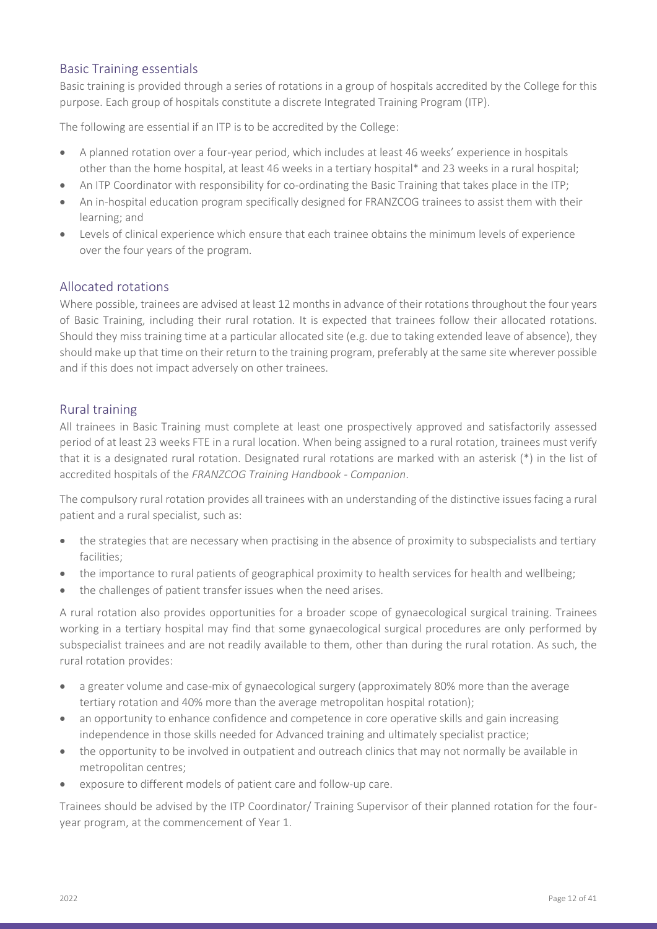### <span id="page-11-0"></span>Basic Training essentials

Basic training is provided through a series of rotations in a group of hospitals accredited by the College for this purpose. Each group of hospitals constitute a discrete Integrated Training Program (ITP).

The following are essential if an ITP is to be accredited by the College:

- A planned rotation over a four-year period, which includes at least 46 weeks' experience in hospitals other than the home hospital, at least 46 weeks in a tertiary hospital\* and 23 weeks in a rural hospital;
- An ITP Coordinator with responsibility for co-ordinating the Basic Training that takes place in the ITP;
- An in-hospital education program specifically designed for FRANZCOG trainees to assist them with their learning; and
- Levels of clinical experience which ensure that each trainee obtains the minimum levels of experience over the four years of the program.

#### <span id="page-11-1"></span>Allocated rotations

Where possible, trainees are advised at least 12 months in advance of their rotations throughout the four years of Basic Training, including their rural rotation. It is expected that trainees follow their allocated rotations. Should they miss training time at a particular allocated site (e.g. due to taking extended leave of absence), they should make up that time on their return to the training program, preferably at the same site wherever possible and if this does not impact adversely on other trainees.

#### <span id="page-11-2"></span>Rural training

All trainees in Basic Training must complete at least one prospectively approved and satisfactorily assessed period of at least 23 weeks FTE in a rural location. When being assigned to a rural rotation, trainees must verify that it is a designated rural rotation. Designated rural rotations are marked with an asterisk (\*) in the list of accredited hospitals of the *FRANZCOG Training Handbook - Companion*.

The compulsory rural rotation provides all trainees with an understanding of the distinctive issues facing a rural patient and a rural specialist, such as:

- the strategies that are necessary when practising in the absence of proximity to subspecialists and tertiary facilities;
- the importance to rural patients of geographical proximity to health services for health and wellbeing;
- the challenges of patient transfer issues when the need arises.

A rural rotation also provides opportunities for a broader scope of gynaecological surgical training. Trainees working in a tertiary hospital may find that some gynaecological surgical procedures are only performed by subspecialist trainees and are not readily available to them, other than during the rural rotation. As such, the rural rotation provides:

- a greater volume and case-mix of gynaecological surgery (approximately 80% more than the average tertiary rotation and 40% more than the average metropolitan hospital rotation);
- an opportunity to enhance confidence and competence in core operative skills and gain increasing independence in those skills needed for Advanced training and ultimately specialist practice;
- the opportunity to be involved in outpatient and outreach clinics that may not normally be available in metropolitan centres;
- exposure to different models of patient care and follow-up care.

Trainees should be advised by the ITP Coordinator/ Training Supervisor of their planned rotation for the fouryear program, at the commencement of Year 1.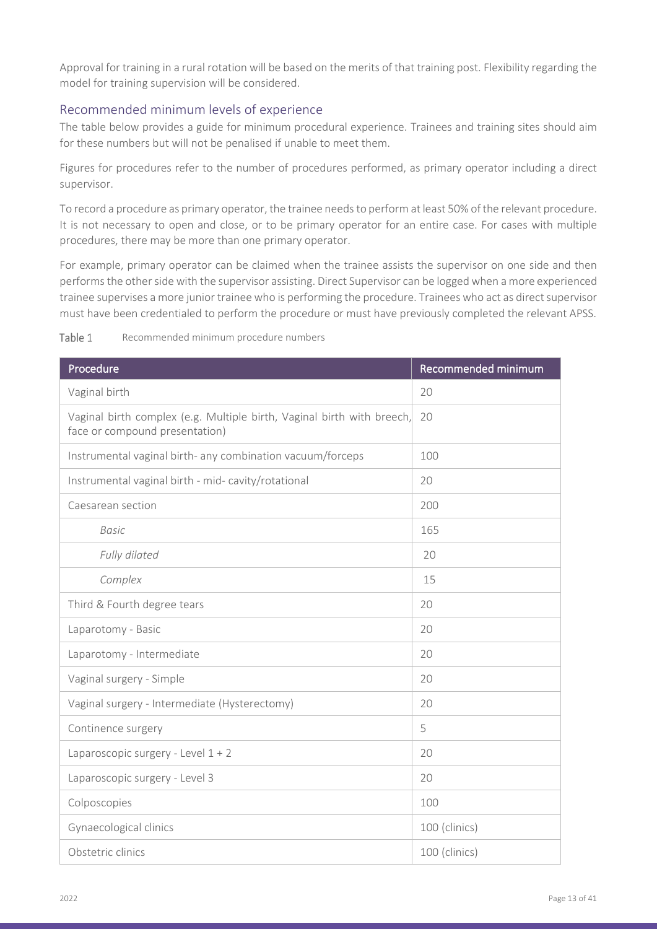Approval for training in a rural rotation will be based on the merits of that training post. Flexibility regarding the model for training supervision will be considered.

#### <span id="page-12-0"></span>Recommended minimum levels of experience

The table below provides a guide for minimum procedural experience. Trainees and training sites should aim for these numbers but will not be penalised if unable to meet them.

Figures for procedures refer to the number of procedures performed, as primary operator including a direct supervisor.

To record a procedure as primary operator, the trainee needs to perform at least 50% of the relevant procedure. It is not necessary to open and close, or to be primary operator for an entire case. For cases with multiple procedures, there may be more than one primary operator.

For example, primary operator can be claimed when the trainee assists the supervisor on one side and then performs the other side with the supervisor assisting. Direct Supervisor can be logged when a more experienced trainee supervises a more junior trainee who is performing the procedure. Trainees who act as direct supervisor must have been credentialed to perform the procedure or must have previously completed the relevant APSS.

| Procedure                                                                                                | Recommended minimum |
|----------------------------------------------------------------------------------------------------------|---------------------|
| Vaginal birth                                                                                            | 20                  |
| Vaginal birth complex (e.g. Multiple birth, Vaginal birth with breech,<br>face or compound presentation) | 20                  |
| Instrumental vaginal birth- any combination vacuum/forceps                                               | 100                 |
| Instrumental vaginal birth - mid- cavity/rotational                                                      | 20                  |
| Caesarean section                                                                                        | 200                 |
| <b>Basic</b>                                                                                             | 165                 |
| Fully dilated                                                                                            | 20                  |
| Complex                                                                                                  | 15                  |
| Third & Fourth degree tears                                                                              | 20                  |
| Laparotomy - Basic                                                                                       | 20                  |
| Laparotomy - Intermediate                                                                                | 20                  |
| Vaginal surgery - Simple                                                                                 | 20                  |
| Vaginal surgery - Intermediate (Hysterectomy)                                                            | 20                  |
| Continence surgery                                                                                       | 5                   |
| Laparoscopic surgery - Level $1 + 2$                                                                     | 20                  |
| Laparoscopic surgery - Level 3                                                                           | 20                  |
| Colposcopies                                                                                             | 100                 |
| Gynaecological clinics                                                                                   | 100 (clinics)       |
| Obstetric clinics                                                                                        | 100 (clinics)       |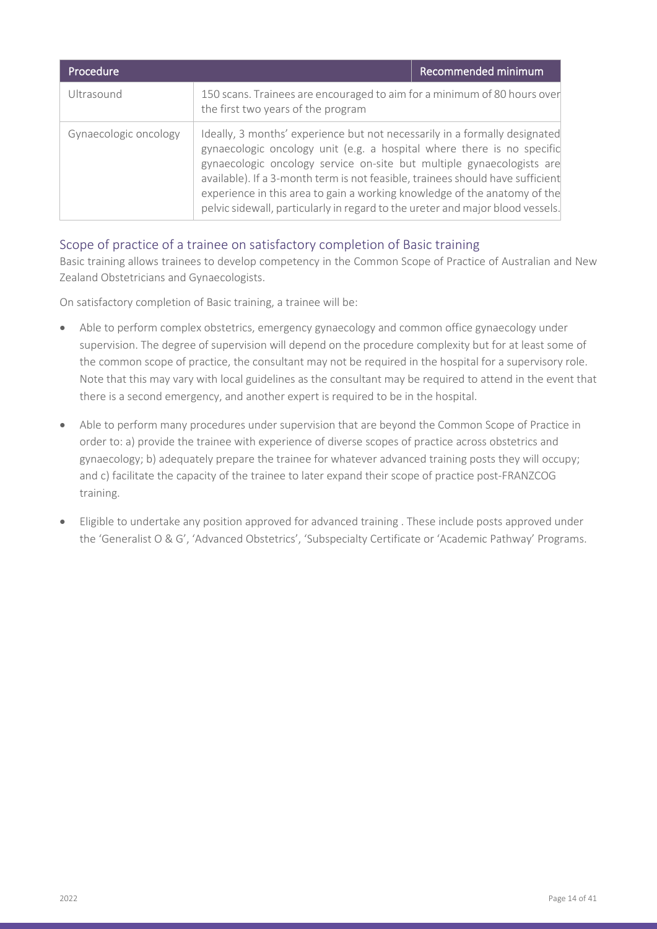| Procedure             |                                                                                                                                                                                                                                                                                                                                                                                                                                                                                | Recommended minimum |
|-----------------------|--------------------------------------------------------------------------------------------------------------------------------------------------------------------------------------------------------------------------------------------------------------------------------------------------------------------------------------------------------------------------------------------------------------------------------------------------------------------------------|---------------------|
| Ultrasound            | 150 scans. Trainees are encouraged to aim for a minimum of 80 hours over<br>the first two years of the program                                                                                                                                                                                                                                                                                                                                                                 |                     |
| Gynaecologic oncology | Ideally, 3 months' experience but not necessarily in a formally designated<br>gynaecologic oncology unit (e.g. a hospital where there is no specific<br>gynaecologic oncology service on-site but multiple gynaecologists are<br>available). If a 3-month term is not feasible, trainees should have sufficient<br>experience in this area to gain a working knowledge of the anatomy of the<br>pelvic sidewall, particularly in regard to the ureter and major blood vessels. |                     |

### <span id="page-13-0"></span>Scope of practice of a trainee on satisfactory completion of Basic training

Basic training allows trainees to develop competency in the Common Scope of Practice of Australian and New Zealand Obstetricians and Gynaecologists.

On satisfactory completion of Basic training, a trainee will be:

- Able to perform complex obstetrics, emergency gynaecology and common office gynaecology under supervision. The degree of supervision will depend on the procedure complexity but for at least some of the common scope of practice, the consultant may not be required in the hospital for a supervisory role. Note that this may vary with local guidelines as the consultant may be required to attend in the event that there is a second emergency, and another expert is required to be in the hospital.
- Able to perform many procedures under supervision that are beyond the Common Scope of Practice in order to: a) provide the trainee with experience of diverse scopes of practice across obstetrics and gynaecology; b) adequately prepare the trainee for whatever advanced training posts they will occupy; and c) facilitate the capacity of the trainee to later expand their scope of practice post-FRANZCOG training.
- Eligible to undertake any position approved for advanced training . These include posts approved under the 'Generalist O & G', 'Advanced Obstetrics', 'Subspecialty Certificate or 'Academic Pathway' Programs.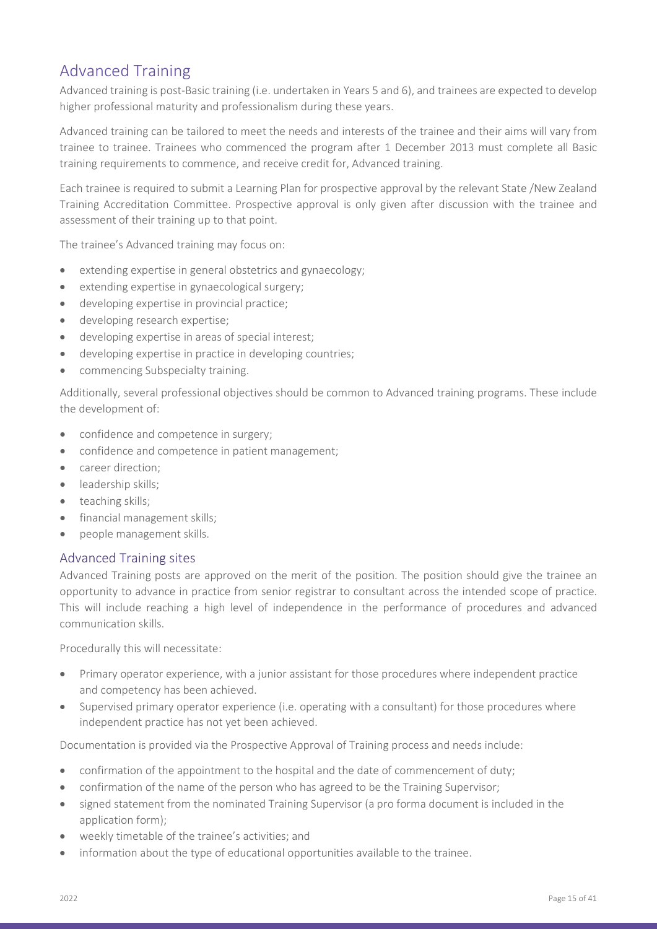### <span id="page-14-0"></span>Advanced Training

Advanced training is post-Basic training (i.e. undertaken in Years 5 and 6), and trainees are expected to develop higher professional maturity and professionalism during these years.

Advanced training can be tailored to meet the needs and interests of the trainee and their aims will vary from trainee to trainee. Trainees who commenced the program after 1 December 2013 must complete all Basic training requirements to commence, and receive credit for, Advanced training.

Each trainee is required to submit a Learning Plan for prospective approval by the relevant State /New Zealand Training Accreditation Committee. Prospective approval is only given after discussion with the trainee and assessment of their training up to that point.

The trainee's Advanced training may focus on:

- extending expertise in general obstetrics and gynaecology;
- extending expertise in gynaecological surgery;
- developing expertise in provincial practice;
- developing research expertise;
- developing expertise in areas of special interest;
- developing expertise in practice in developing countries;
- commencing Subspecialty training.

Additionally, several professional objectives should be common to Advanced training programs. These include the development of:

- confidence and competence in surgery;
- confidence and competence in patient management;
- career direction:
- leadership skills;
- teaching skills;
- financial management skills;
- people management skills.

#### <span id="page-14-1"></span>Advanced Training sites

Advanced Training posts are approved on the merit of the position. The position should give the trainee an opportunity to advance in practice from senior registrar to consultant across the intended scope of practice. This will include reaching a high level of independence in the performance of procedures and advanced communication skills.

Procedurally this will necessitate:

- Primary operator experience, with a junior assistant for those procedures where independent practice and competency has been achieved.
- Supervised primary operator experience (i.e. operating with a consultant) for those procedures where independent practice has not yet been achieved.

Documentation is provided via the Prospective Approval of Training process and needs include:

- confirmation of the appointment to the hospital and the date of commencement of duty;
- confirmation of the name of the person who has agreed to be the Training Supervisor;
- signed statement from the nominated Training Supervisor (a pro forma document is included in the application form);
- weekly timetable of the trainee's activities; and
- information about the type of educational opportunities available to the trainee.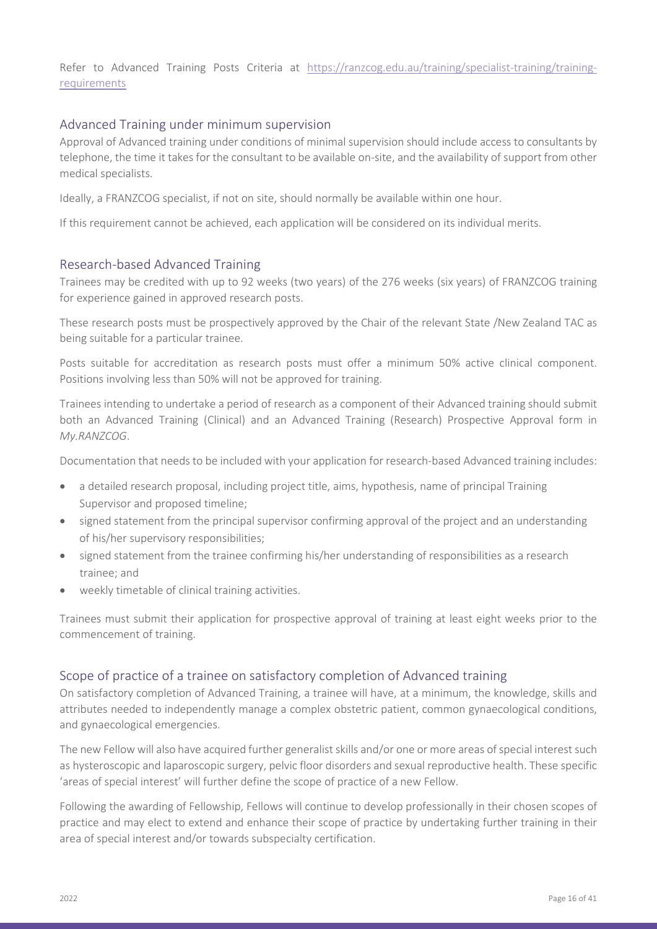Refer to Advanced Training Posts Criteria at [https://ranzcog.edu.au/training/specialist-training/training](https://ranzcog.edu.au/training/specialist-training/training-requirements)[requirements](https://ranzcog.edu.au/training/specialist-training/training-requirements)

#### <span id="page-15-0"></span>Advanced Training under minimum supervision

Approval of Advanced training under conditions of minimal supervision should include access to consultants by telephone, the time it takes for the consultant to be available on-site, and the availability of support from other medical specialists.

Ideally, a FRANZCOG specialist, if not on site, should normally be available within one hour.

If this requirement cannot be achieved, each application will be considered on its individual merits.

#### <span id="page-15-1"></span>Research-based Advanced Training

Trainees may be credited with up to 92 weeks (two years) of the 276 weeks (six years) of FRANZCOG training for experience gained in approved research posts.

These research posts must be prospectively approved by the Chair of the relevant State /New Zealand TAC as being suitable for a particular trainee.

Posts suitable for accreditation as research posts must offer a minimum 50% active clinical component. Positions involving less than 50% will not be approved for training.

Trainees intending to undertake a period of research as a component of their Advanced training should submit both an Advanced Training (Clinical) and an Advanced Training (Research) Prospective Approval form in *My.RANZCOG*.

Documentation that needs to be included with your application for research-based Advanced training includes:

- a detailed research proposal, including project title, aims, hypothesis, name of principal Training Supervisor and proposed timeline;
- signed statement from the principal supervisor confirming approval of the project and an understanding of his/her supervisory responsibilities;
- signed statement from the trainee confirming his/her understanding of responsibilities as a research trainee; and
- weekly timetable of clinical training activities.

Trainees must submit their application for prospective approval of training at least eight weeks prior to the commencement of training.

#### <span id="page-15-2"></span>Scope of practice of a trainee on satisfactory completion of Advanced training

On satisfactory completion of Advanced Training, a trainee will have, at a minimum, the knowledge, skills and attributes needed to independently manage a complex obstetric patient, common gynaecological conditions, and gynaecological emergencies.

The new Fellow will also have acquired further generalist skills and/or one or more areas of special interest such as hysteroscopic and laparoscopic surgery, pelvic floor disorders and sexual reproductive health. These specific 'areas of special interest' will further define the scope of practice of a new Fellow.

Following the awarding of Fellowship, Fellows will continue to develop professionally in their chosen scopes of practice and may elect to extend and enhance their scope of practice by undertaking further training in their area of special interest and/or towards subspecialty certification.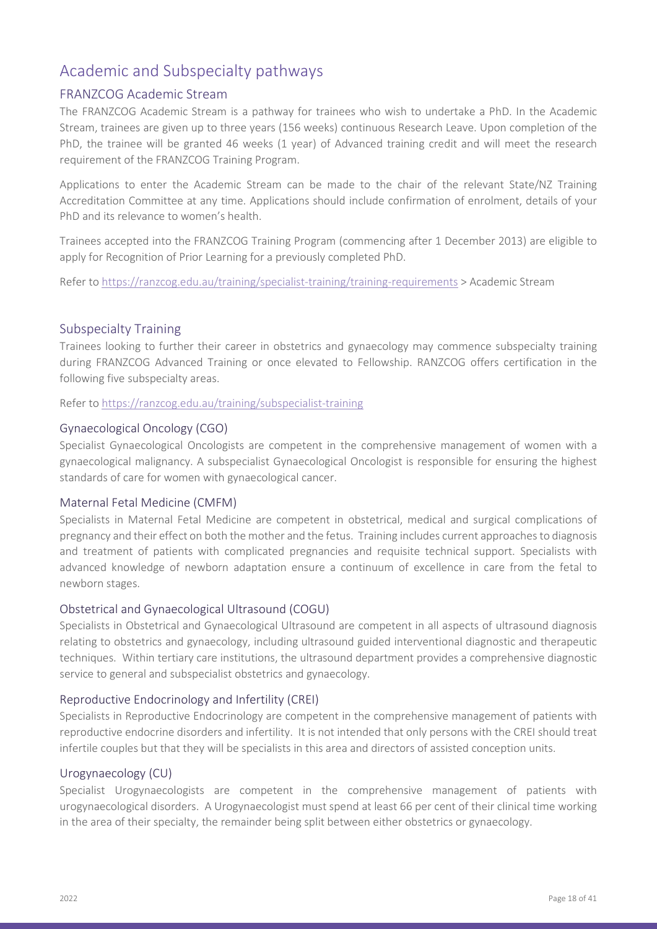### <span id="page-17-0"></span>Academic and Subspecialty pathways

#### <span id="page-17-1"></span>FRANZCOG Academic Stream

The FRANZCOG Academic Stream is a pathway for trainees who wish to undertake a PhD. In the Academic Stream, trainees are given up to three years (156 weeks) continuous Research Leave. Upon completion of the PhD, the trainee will be granted 46 weeks (1 year) of Advanced training credit and will meet the research requirement of the FRANZCOG Training Program.

Applications to enter the Academic Stream can be made to the chair of the relevant State/NZ Training Accreditation Committee at any time. Applications should include confirmation of enrolment, details of your PhD and its relevance to women's health.

Trainees accepted into the FRANZCOG Training Program (commencing after 1 December 2013) are eligible to apply for Recognition of Prior Learning for a previously completed PhD.

Refer to<https://ranzcog.edu.au/training/specialist-training/training-requirements> > Academic Stream

#### <span id="page-17-2"></span>Subspecialty Training

Trainees looking to further their career in obstetrics and gynaecology may commence subspecialty training during FRANZCOG Advanced Training or once elevated to Fellowship. RANZCOG offers certification in the following five subspecialty areas.

Refer to<https://ranzcog.edu.au/training/subspecialist-training>

#### <span id="page-17-3"></span>Gynaecological Oncology (CGO)

Specialist Gynaecological Oncologists are competent in the comprehensive management of women with a gynaecological malignancy. A subspecialist Gynaecological Oncologist is responsible for ensuring the highest standards of care for women with gynaecological cancer.

#### <span id="page-17-4"></span>Maternal Fetal Medicine (CMFM)

Specialists in Maternal Fetal Medicine are competent in obstetrical, medical and surgical complications of pregnancy and their effect on both the mother and the fetus. Training includes current approaches to diagnosis and treatment of patients with complicated pregnancies and requisite technical support. Specialists with advanced knowledge of newborn adaptation ensure a continuum of excellence in care from the fetal to newborn stages.

#### <span id="page-17-5"></span>Obstetrical and Gynaecological Ultrasound (COGU)

Specialists in Obstetrical and Gynaecological Ultrasound are competent in all aspects of ultrasound diagnosis relating to obstetrics and gynaecology, including ultrasound guided interventional diagnostic and therapeutic techniques. Within tertiary care institutions, the ultrasound department provides a comprehensive diagnostic service to general and subspecialist obstetrics and gynaecology.

#### <span id="page-17-6"></span>Reproductive Endocrinology and Infertility (CREI)

Specialists in Reproductive Endocrinology are competent in the comprehensive management of patients with reproductive endocrine disorders and infertility. It is not intended that only persons with the CREI should treat infertile couples but that they will be specialists in this area and directors of assisted conception units.

#### <span id="page-17-7"></span>Urogynaecology (CU)

Specialist Urogynaecologists are competent in the comprehensive management of patients with urogynaecological disorders. A Urogynaecologist must spend at least 66 per cent of their clinical time working in the area of their specialty, the remainder being split between either obstetrics or gynaecology.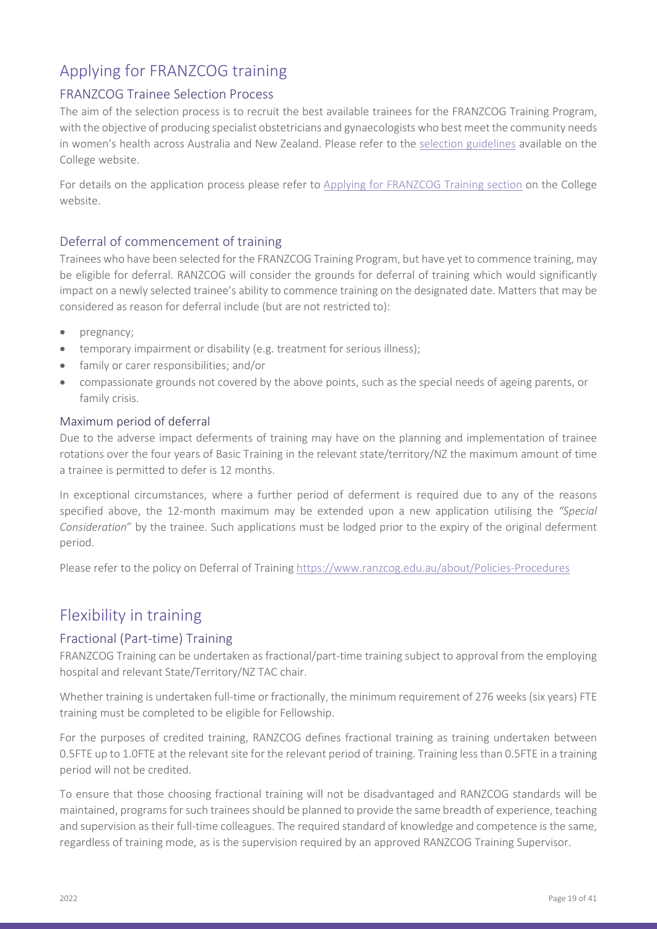## <span id="page-18-0"></span>Applying for FRANZCOG training

### <span id="page-18-1"></span>FRANZCOG Trainee Selection Process

The aim of the selection process is to recruit the best available trainees for the FRANZCOG Training Program, with the objective of producing specialist obstetricians and gynaecologists who best meet the community needs in women's health across Australia and New Zealand. Please refer to the [selection guidelines](https://ranzcog.edu.au/RANZCOG_SITE/media/RANZCOG-MEDIA/Training%20and%20Assessment/Specialist%20Training/Applying/Trainee-Selection-Process-Guidelines.pdf) available on the College website.

For details on the application process please refer to [Applying for FRANZCOG Training section](https://ranzcog.edu.au/training/specialist-training/applying) on the College website.

### <span id="page-18-2"></span>Deferral of commencement of training

Trainees who have been selected for the FRANZCOG Training Program, but have yet to commence training, may be eligible for deferral. RANZCOG will consider the grounds for deferral of training which would significantly impact on a newly selected trainee's ability to commence training on the designated date. Matters that may be considered as reason for deferral include (but are not restricted to):

- pregnancy;
- temporary impairment or disability (e.g. treatment for serious illness);
- family or carer responsibilities; and/or
- compassionate grounds not covered by the above points, such as the special needs of ageing parents, or family crisis.

#### <span id="page-18-3"></span>Maximum period of deferral

Due to the adverse impact deferments of training may have on the planning and implementation of trainee rotations over the four years of Basic Training in the relevant state/territory/NZ the maximum amount of time a trainee is permitted to defer is 12 months.

In exceptional circumstances, where a further period of deferment is required due to any of the reasons specified above, the 12-month maximum may be extended upon a new application utilising the *"Special Consideration*" by the trainee. Such applications must be lodged prior to the expiry of the original deferment period.

Please refer to the policy on Deferral of Training <https://www.ranzcog.edu.au/about/Policies-Procedures>

### <span id="page-18-4"></span>Flexibility in training

#### <span id="page-18-5"></span>Fractional (Part-time) Training

FRANZCOG Training can be undertaken as fractional/part-time training subject to approval from the employing hospital and relevant State/Territory/NZ TAC chair.

Whether training is undertaken full-time or fractionally, the minimum requirement of 276 weeks (six years) FTE training must be completed to be eligible for Fellowship.

For the purposes of credited training, RANZCOG defines fractional training as training undertaken between 0.5FTE up to 1.0FTE at the relevant site for the relevant period of training. Training less than 0.5FTE in a training period will not be credited.

To ensure that those choosing fractional training will not be disadvantaged and RANZCOG standards will be maintained, programs for such trainees should be planned to provide the same breadth of experience, teaching and supervision as their full-time colleagues. The required standard of knowledge and competence is the same, regardless of training mode, as is the supervision required by an approved RANZCOG Training Supervisor.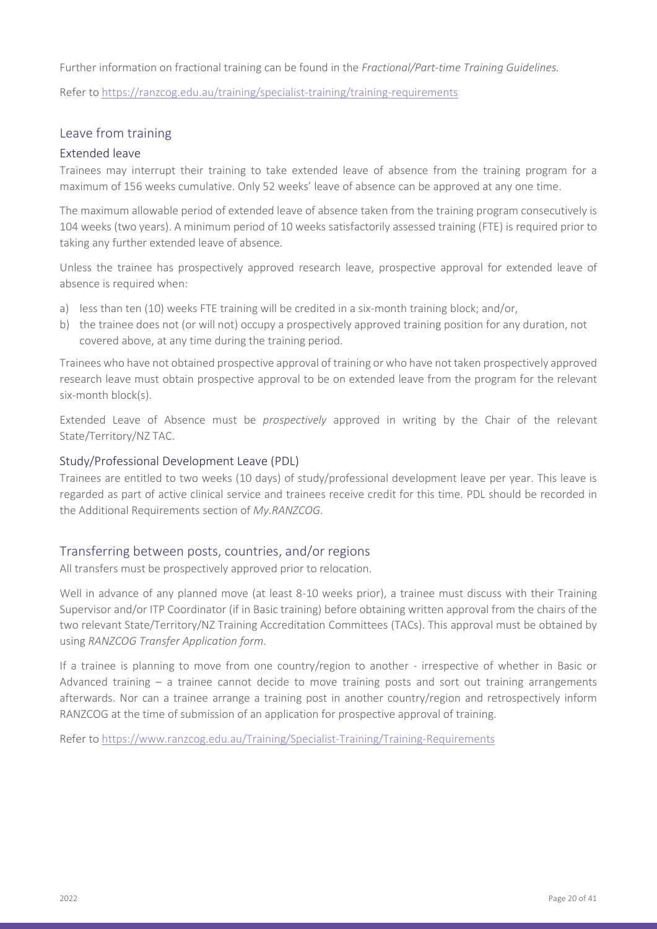Further information on fractional training can be found in the *Fractional/Part-time Training Guidelines.* 

Refer to<https://ranzcog.edu.au/training/specialist-training/training-requirements>

#### <span id="page-19-0"></span>Leave from training

#### <span id="page-19-1"></span>Extended leave

Trainees may interrupt their training to take extended leave of absence from the training program for a maximum of 156 weeks cumulative. Only 52 weeks' leave of absence can be approved at any one time.

The maximum allowable period of extended leave of absence taken from the training program consecutively is 104 weeks (two years). A minimum period of 10 weeks satisfactorily assessed training (FTE) is required prior to taking any further extended leave of absence.

Unless the trainee has prospectively approved research leave, prospective approval for extended leave of absence is required when:

- a) less than ten (10) weeks FTE training will be credited in a six-month training block; and/or,
- b) the trainee does not (or will not) occupy a prospectively approved training position for any duration, not covered above, at any time during the training period.

Trainees who have not obtained prospective approval of training or who have not taken prospectively approved research leave must obtain prospective approval to be on extended leave from the program for the relevant six-month block(s).

Extended Leave of Absence must be *prospectively* approved in writing by the Chair of the relevant State/Territory/NZ TAC.

#### <span id="page-19-2"></span>Study/Professional Development Leave (PDL)

Trainees are entitled to two weeks (10 days) of study/professional development leave per year. This leave is regarded as part of active clinical service and trainees receive credit for this time. PDL should be recorded in the Additional Requirements section of *My.RANZCOG*.

#### <span id="page-19-3"></span>Transferring between posts, countries, and/or regions

All transfers must be prospectively approved prior to relocation.

Well in advance of any planned move (at least 8-10 weeks prior), a trainee must discuss with their Training Supervisor and/or ITP Coordinator (if in Basic training) before obtaining written approval from the chairs of the two relevant State/Territory/NZ Training Accreditation Committees (TACs). This approval must be obtained by using *RANZCOG Transfer Application form*.

If a trainee is planning to move from one country/region to another - irrespective of whether in Basic or Advanced training – a trainee cannot decide to move training posts and sort out training arrangements afterwards. Nor can a trainee arrange a training post in another country/region and retrospectively inform RANZCOG at the time of submission of an application for prospective approval of training.

Refer to<https://www.ranzcog.edu.au/Training/Specialist-Training/Training-Requirements>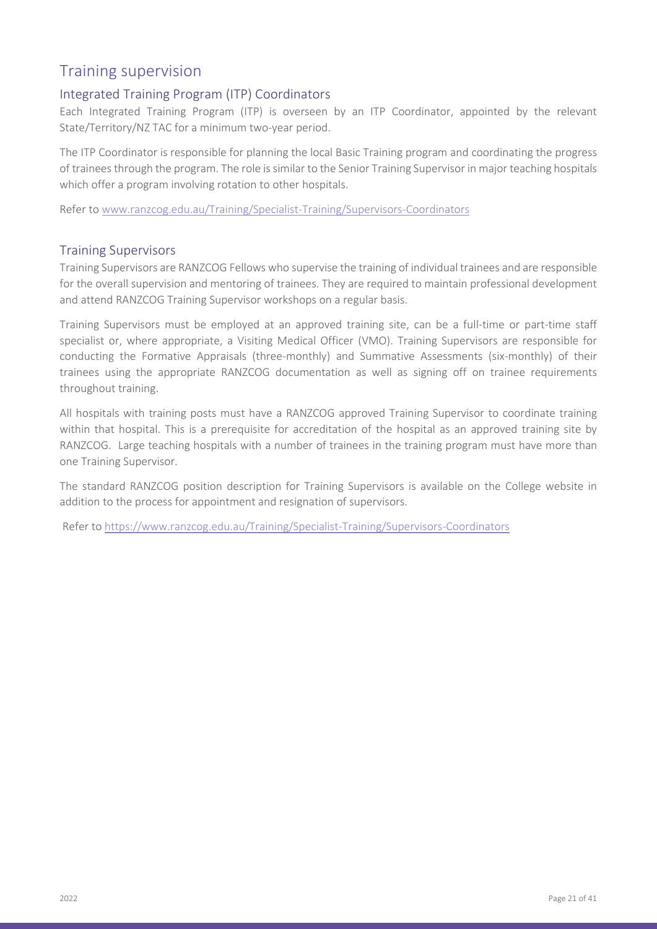### <span id="page-20-0"></span>Training supervision

### <span id="page-20-1"></span>Integrated Training Program (ITP) Coordinators

Each Integrated Training Program (ITP) is overseen by an ITP Coordinator, appointed by the relevant State/Territory/NZ TAC for a minimum two-year period.

The ITP Coordinator is responsible for planning the local Basic Training program and coordinating the progress of trainees through the program. The role is similar to the Senior Training Supervisor in major teaching hospitals which offer a program involving rotation to other hospitals.

Refer to [www.ranzcog.edu.au/Training/Specialist-Training/Supervisors-Coordinators](http://www.ranzcog.edu.au/Training/Specialist-Training/Supervisors-Coordinators)

#### <span id="page-20-2"></span>Training Supervisors

Training Supervisors are RANZCOG Fellows who supervise the training of individual trainees and are responsible for the overall supervision and mentoring of trainees. They are required to maintain professional development and attend RANZCOG Training Supervisor workshops on a regular basis.

Training Supervisors must be employed at an approved training site, can be a full-time or part-time staff specialist or, where appropriate, a Visiting Medical Officer (VMO). Training Supervisors are responsible for conducting the Formative Appraisals (three-monthly) and Summative Assessments (six-monthly) of their trainees using the appropriate RANZCOG documentation as well as signing off on trainee requirements throughout training.

All hospitals with training posts must have a RANZCOG approved Training Supervisor to coordinate training within that hospital. This is a prerequisite for accreditation of the hospital as an approved training site by RANZCOG. Large teaching hospitals with a number of trainees in the training program must have more than one Training Supervisor.

The standard RANZCOG position description for Training Supervisors is available on the College website in addition to the process for appointment and resignation of supervisors.

Refer to<https://www.ranzcog.edu.au/Training/Specialist-Training/Supervisors-Coordinators>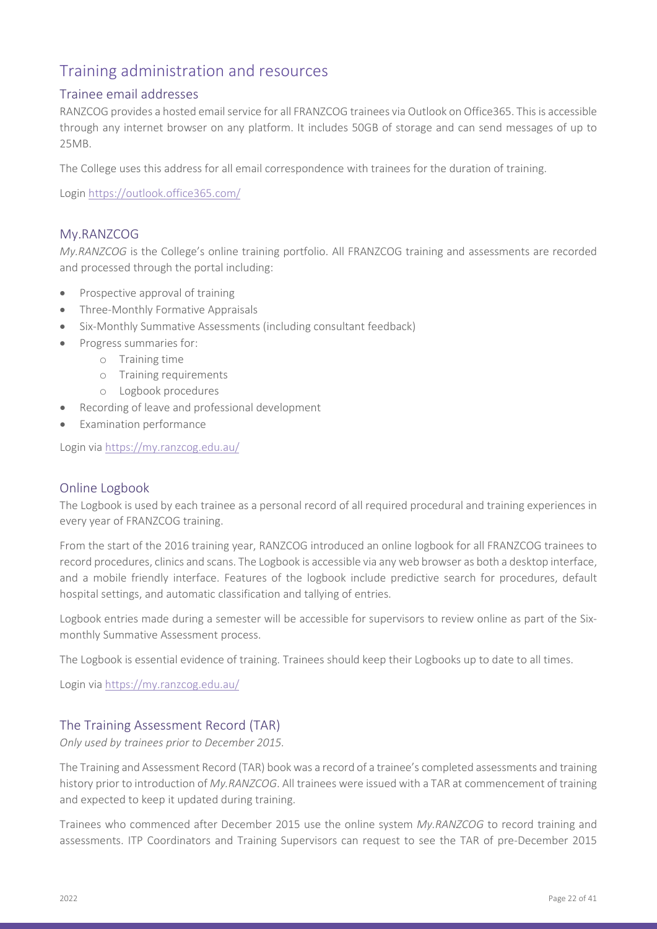### <span id="page-21-0"></span>Training administration and resources

#### <span id="page-21-1"></span>Trainee email addresses

RANZCOG provides a hosted email service for all FRANZCOG trainees via Outlook on Office365. This is accessible through any internet browser on any platform. It includes 50GB of storage and can send messages of up to 25MB.

The College uses this address for all email correspondence with trainees for the duration of training.

Login<https://outlook.office365.com/>

#### <span id="page-21-2"></span>My.RANZCOG

*My.RANZCOG* is the College's online training portfolio. All FRANZCOG training and assessments are recorded and processed through the portal including:

- Prospective approval of training
- Three-Monthly Formative Appraisals
- Six-Monthly Summative Assessments (including consultant feedback)
- Progress summaries for:
	- o Training time
	- o Training requirements
	- o Logbook procedures
- Recording of leave and professional development
- Examination performance

Login via<https://my.ranzcog.edu.au/>

#### <span id="page-21-3"></span>Online Logbook

The Logbook is used by each trainee as a personal record of all required procedural and training experiences in every year of FRANZCOG training.

From the start of the 2016 training year, RANZCOG introduced an online logbook for all FRANZCOG trainees to record procedures, clinics and scans. The Logbook is accessible via any web browser as both a desktop interface, and a mobile friendly interface. Features of the logbook include predictive search for procedures, default hospital settings, and automatic classification and tallying of entries.

Logbook entries made during a semester will be accessible for supervisors to review online as part of the Sixmonthly Summative Assessment process.

The Logbook is essential evidence of training. Trainees should keep their Logbooks up to date to all times.

Login via<https://my.ranzcog.edu.au/>

#### <span id="page-21-4"></span>The Training Assessment Record (TAR)

*Only used by trainees prior to December 2015.*

The Training and Assessment Record (TAR) book was a record of a trainee's completed assessments and training history prior to introduction of *My.RANZCOG*. All trainees were issued with a TAR at commencement of training and expected to keep it updated during training.

Trainees who commenced after December 2015 use the online system *My.RANZCOG* to record training and assessments. ITP Coordinators and Training Supervisors can request to see the TAR of pre-December 2015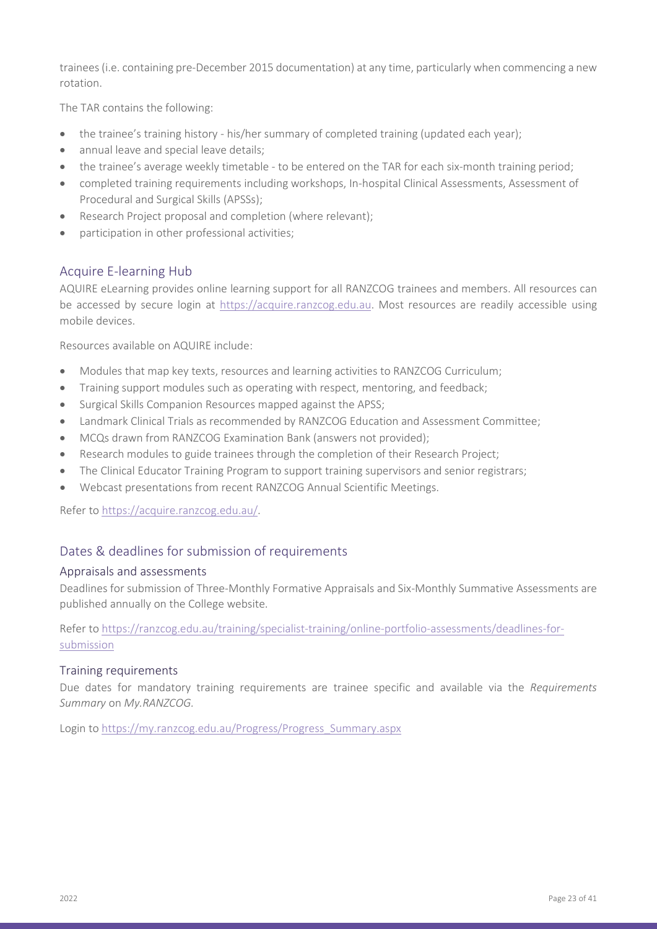trainees (i.e. containing pre-December 2015 documentation) at any time, particularly when commencing a new rotation.

The TAR contains the following:

- the trainee's training history his/her summary of completed training (updated each year);
- annual leave and special leave details;
- the trainee's average weekly timetable to be entered on the TAR for each six-month training period;
- completed training requirements including workshops, In-hospital Clinical Assessments, Assessment of Procedural and Surgical Skills (APSSs);
- Research Project proposal and completion (where relevant);
- participation in other professional activities;

#### <span id="page-22-0"></span>Acquire E-learning Hub

AQUIRE eLearning provides online learning support for all RANZCOG trainees and members. All resources can be accessed by secure login at [https://acquire.ranzcog.edu.au.](https://acquire.ranzcog.edu.au/) Most resources are readily accessible using mobile devices.

Resources available on AQUIRE include:

- Modules that map key texts, resources and learning activities to RANZCOG Curriculum;
- Training support modules such as operating with respect, mentoring, and feedback;
- Surgical Skills Companion Resources mapped against the APSS;
- Landmark Clinical Trials as recommended by RANZCOG Education and Assessment Committee;
- MCQs drawn from RANZCOG Examination Bank (answers not provided);
- Research modules to guide trainees through the completion of their Research Project;
- The Clinical Educator Training Program to support training supervisors and senior registrars;
- Webcast presentations from recent RANZCOG Annual Scientific Meetings.

Refer to [https://acquire.ranzcog.edu.au/.](https://acquire.ranzcog.edu.au/)

#### <span id="page-22-1"></span>Dates & deadlines for submission of requirements

#### <span id="page-22-2"></span>Appraisals and assessments

Deadlines for submission of Three-Monthly Formative Appraisals and Six-Monthly Summative Assessments are published annually on the College website.

Refer to [https://ranzcog.edu.au/training/specialist-training/online-portfolio-assessments/deadlines-for](https://ranzcog.edu.au/training/specialist-training/online-portfolio-assessments/deadlines-for-submission)[submission](https://ranzcog.edu.au/training/specialist-training/online-portfolio-assessments/deadlines-for-submission)

#### <span id="page-22-3"></span>Training requirements

Due dates for mandatory training requirements are trainee specific and available via the *Requirements Summary* on *My.RANZCOG.* 

Login to [https://my.ranzcog.edu.au/Progress/Progress\\_Summary.aspx](https://my.ranzcog.edu.au/Progress/Progress_Summary.aspx)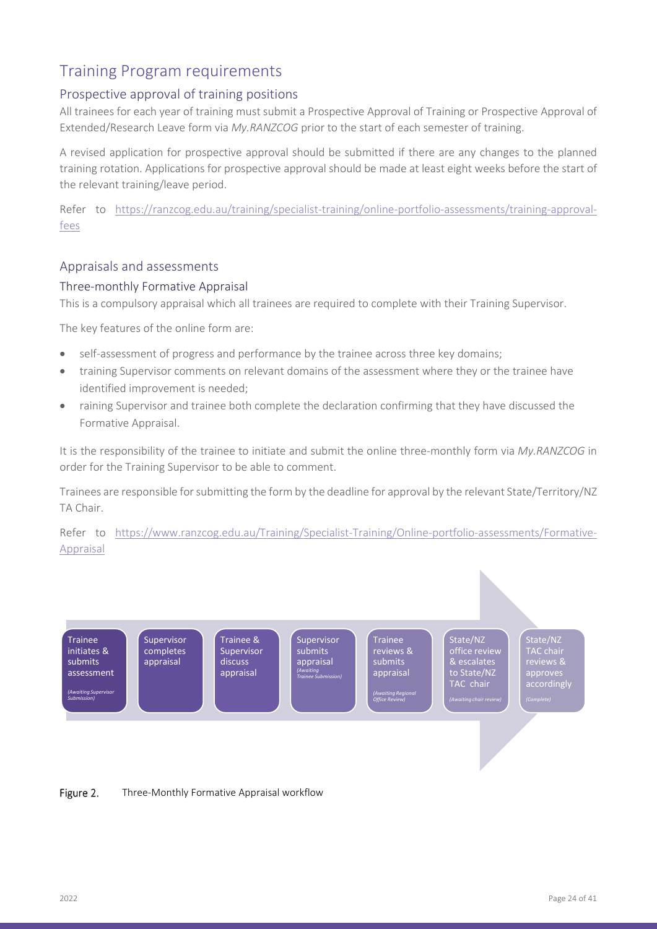### <span id="page-23-0"></span>Training Program requirements

#### <span id="page-23-1"></span>Prospective approval of training positions

All trainees for each year of training must submit a Prospective Approval of Training or Prospective Approval of Extended/Research Leave form via *My.RANZCOG* prior to the start of each semester of training.

A revised application for prospective approval should be submitted if there are any changes to the planned training rotation. Applications for prospective approval should be made at least eight weeks before the start of the relevant training/leave period.

Refer to [https://ranzcog.edu.au/training/specialist-training/online-portfolio-assessments/training-approval](https://ranzcog.edu.au/training/specialist-training/online-portfolio-assessments/training-approval-fees)[fees](https://ranzcog.edu.au/training/specialist-training/online-portfolio-assessments/training-approval-fees)

#### <span id="page-23-2"></span>Appraisals and assessments

#### <span id="page-23-3"></span>Three-monthly Formative Appraisal

This is a compulsory appraisal which all trainees are required to complete with their Training Supervisor.

The key features of the online form are:

- self-assessment of progress and performance by the trainee across three key domains;
- training Supervisor comments on relevant domains of the assessment where they or the trainee have identified improvement is needed;
- raining Supervisor and trainee both complete the declaration confirming that they have discussed the Formative Appraisal.

It is the responsibility of the trainee to initiate and submit the online three-monthly form via *My.RANZCOG* in order for the Training Supervisor to be able to comment.

Trainees are responsible for submitting the form by the deadline for approval by the relevant State/Territory/NZ TA Chair.

Refer to [https://www.ranzcog.edu.au/Training/Specialist-Training/Online-portfolio-assessments/Formative-](https://www.ranzcog.edu.au/Training/Specialist-Training/Online-portfolio-assessments/Formative-Appraisal)[Appraisal](https://www.ranzcog.edu.au/Training/Specialist-Training/Online-portfolio-assessments/Formative-Appraisal) 



Figure 2. Three-Monthly Formative Appraisal workflow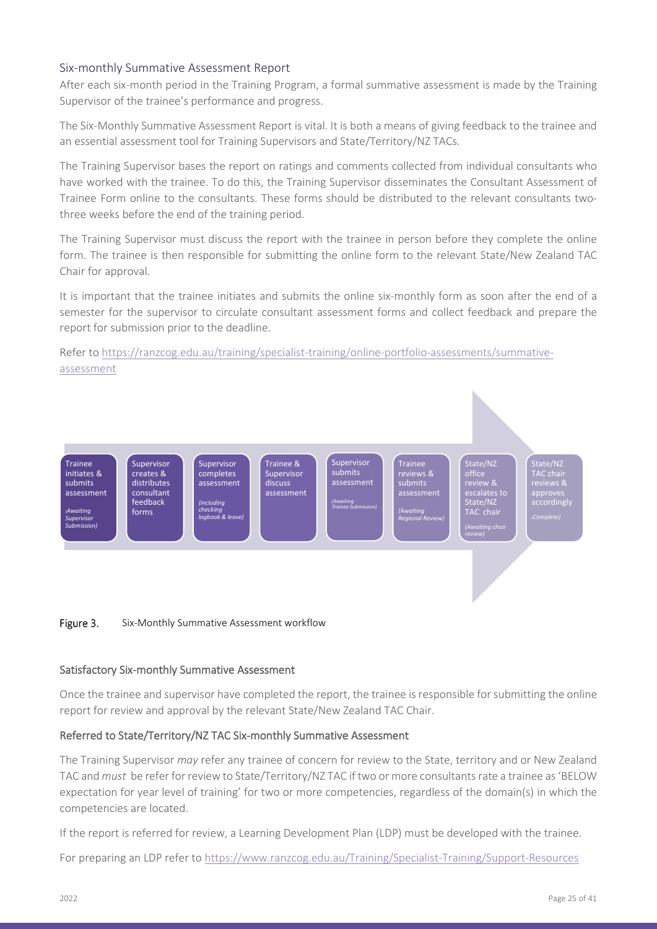#### <span id="page-24-0"></span>Six-monthly Summative Assessment Report

After each six-month period in the Training Program, a formal summative assessment is made by the Training Supervisor of the trainee's performance and progress.

The Six-Monthly Summative Assessment Report is vital. It is both a means of giving feedback to the trainee and an essential assessment tool for Training Supervisors and State/Territory/NZ TACs.

The Training Supervisor bases the report on ratings and comments collected from individual consultants who have worked with the trainee. To do this, the Training Supervisor disseminates the Consultant Assessment of Trainee Form online to the consultants. These forms should be distributed to the relevant consultants twothree weeks before the end of the training period.

The Training Supervisor must discuss the report with the trainee in person before they complete the online form. The trainee is then responsible for submitting the online form to the relevant State/New Zealand TAC Chair for approval.

It is important that the trainee initiates and submits the online six-monthly form as soon after the end of a semester for the supervisor to circulate consultant assessment forms and collect feedback and prepare the report for submission prior to the deadline.

Refer to [https://ranzcog.edu.au/training/specialist-training/online-portfolio-assessments/summative](https://ranzcog.edu.au/training/specialist-training/online-portfolio-assessments/summative-assessment)[assessment](https://ranzcog.edu.au/training/specialist-training/online-portfolio-assessments/summative-assessment)



#### Satisfactory Six-monthly Summative Assessment

Once the trainee and supervisor have completed the report, the trainee is responsible for submitting the online report for review and approval by the relevant State/New Zealand TAC Chair.

#### Referred to State/Territory/NZ TAC Six-monthly Summative Assessment

The Training Supervisor *may* refer any trainee of concern for review to the State, territory and or New Zealand TAC and *must* be refer for review to State/Territory/NZ TAC if two or more consultants rate a trainee as 'BELOW expectation for year level of training' for two or more competencies, regardless of the domain(s) in which the competencies are located.

If the report is referred for review, a Learning Development Plan (LDP) must be developed with the trainee.

For preparing an LDP refer to<https://www.ranzcog.edu.au/Training/Specialist-Training/Support-Resources>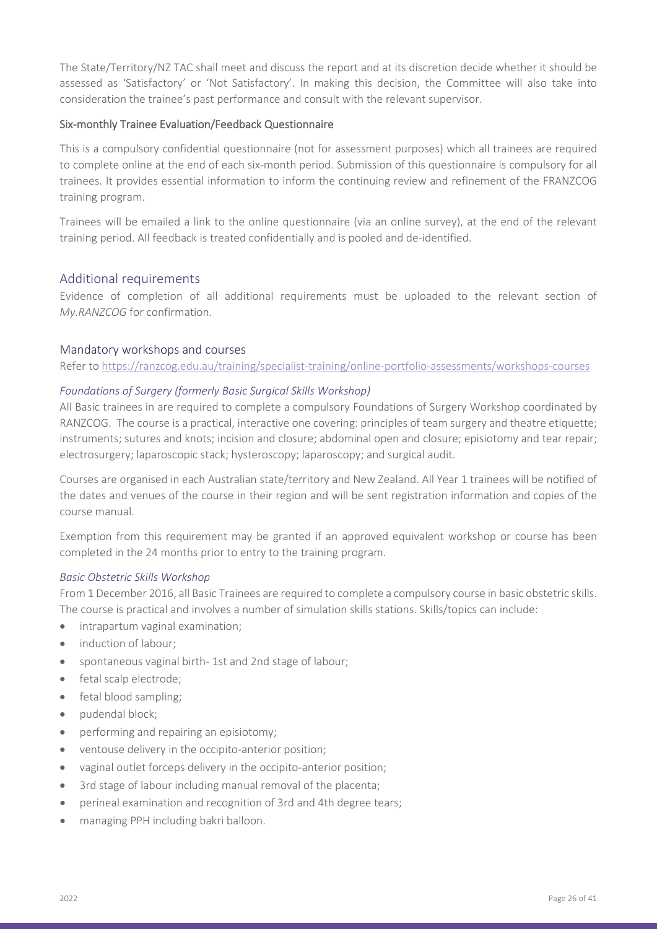The State/Territory/NZ TAC shall meet and discuss the report and at its discretion decide whether it should be assessed as 'Satisfactory' or 'Not Satisfactory'. In making this decision, the Committee will also take into consideration the trainee's past performance and consult with the relevant supervisor.

#### Six-monthly Trainee Evaluation/Feedback Questionnaire

This is a compulsory confidential questionnaire (not for assessment purposes) which all trainees are required to complete online at the end of each six-month period. Submission of this questionnaire is compulsory for all trainees. It provides essential information to inform the continuing review and refinement of the FRANZCOG training program.

Trainees will be emailed a link to the online questionnaire (via an online survey), at the end of the relevant training period. All feedback is treated confidentially and is pooled and de-identified.

#### <span id="page-25-0"></span>Additional requirements

Evidence of completion of all additional requirements must be uploaded to the relevant section of *My.RANZCOG* for confirmation*.*

#### <span id="page-25-1"></span>Mandatory workshops and courses

Refer to<https://ranzcog.edu.au/training/specialist-training/online-portfolio-assessments/workshops-courses>

#### <span id="page-25-2"></span>*Foundations of Surgery (formerly Basic Surgical Skills Workshop)*

All Basic trainees in are required to complete a compulsory Foundations of Surgery Workshop coordinated by RANZCOG. The course is a practical, interactive one covering: principles of team surgery and theatre etiquette; instruments; sutures and knots; incision and closure; abdominal open and closure; episiotomy and tear repair; electrosurgery; laparoscopic stack; hysteroscopy; laparoscopy; and surgical audit.

Courses are organised in each Australian state/territory and New Zealand. All Year 1 trainees will be notified of the dates and venues of the course in their region and will be sent registration information and copies of the course manual.

Exemption from this requirement may be granted if an approved equivalent workshop or course has been completed in the 24 months prior to entry to the training program.

#### <span id="page-25-3"></span>*Basic Obstetric Skills Workshop*

From 1 December 2016, all Basic Trainees are required to complete a compulsory course in basic obstetric skills. The course is practical and involves a number of simulation skills stations. Skills/topics can include:

- intrapartum vaginal examination;
- induction of labour;
- spontaneous vaginal birth- 1st and 2nd stage of labour;
- fetal scalp electrode;
- fetal blood sampling;
- pudendal block;
- performing and repairing an episiotomy;
- ventouse delivery in the occipito-anterior position;
- vaginal outlet forceps delivery in the occipito-anterior position;
- 3rd stage of labour including manual removal of the placenta;
- perineal examination and recognition of 3rd and 4th degree tears;
- managing PPH including bakri balloon.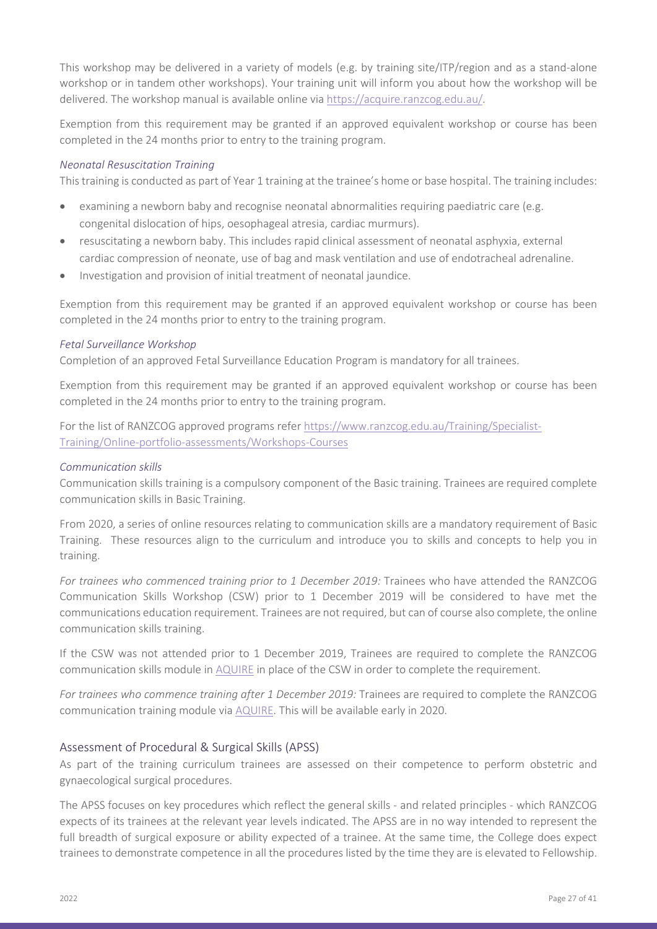This workshop may be delivered in a variety of models (e.g. by training site/ITP/region and as a stand-alone workshop or in tandem other workshops). Your training unit will inform you about how the workshop will be delivered. The workshop manual is available online via [https://acquire.ranzcog.edu.au/.](https://acquire.ranzcog.edu.au/)

Exemption from this requirement may be granted if an approved equivalent workshop or course has been completed in the 24 months prior to entry to the training program.

#### <span id="page-26-0"></span>*Neonatal Resuscitation Training*

This training is conducted as part of Year 1 training at the trainee's home or base hospital. The training includes:

- examining a newborn baby and recognise neonatal abnormalities requiring paediatric care (e.g. congenital dislocation of hips, oesophageal atresia, cardiac murmurs).
- resuscitating a newborn baby. This includes rapid clinical assessment of neonatal asphyxia, external cardiac compression of neonate, use of bag and mask ventilation and use of endotracheal adrenaline.
- Investigation and provision of initial treatment of neonatal jaundice.

Exemption from this requirement may be granted if an approved equivalent workshop or course has been completed in the 24 months prior to entry to the training program.

#### <span id="page-26-1"></span>*Fetal Surveillance Workshop*

Completion of an approved Fetal Surveillance Education Program is mandatory for all trainees.

Exemption from this requirement may be granted if an approved equivalent workshop or course has been completed in the 24 months prior to entry to the training program.

For the list of RANZCOG approved programs refe[r https://www.ranzcog.edu.au/Training/Specialist-](https://www.ranzcog.edu.au/Training/Specialist-Training/Online-portfolio-assessments/Workshops-Courses)[Training/Online-portfolio-assessments/Workshops-Courses](https://www.ranzcog.edu.au/Training/Specialist-Training/Online-portfolio-assessments/Workshops-Courses)

#### <span id="page-26-2"></span>*Communication skills*

Communication skills training is a compulsory component of the Basic training. Trainees are required complete communication skills in Basic Training.

From 2020, a series of online resources relating to communication skills are a mandatory requirement of Basic Training. These resources align to the curriculum and introduce you to skills and concepts to help you in training.

For trainees who commenced training prior to 1 December 2019: Trainees who have attended the RANZCOG Communication Skills Workshop (CSW) prior to 1 December 2019 will be considered to have met the communications education requirement. Trainees are not required, but can of course also complete, the online communication skills training.

If the CSW was not attended prior to 1 December 2019, Trainees are required to complete the RANZCOG communication skills module in [AQUIRE](https://acquire.ranzcog.edu.au/) in place of the CSW in order to complete the requirement.

*For trainees who commence training after 1 December 2019:* Trainees are required to complete the RANZCOG communication training module via [AQUIRE.](https://acquire.ranzcog.edu.au/) This will be available early in 2020.

#### <span id="page-26-3"></span>Assessment of Procedural & Surgical Skills (APSS)

As part of the training curriculum trainees are assessed on their competence to perform obstetric and gynaecological surgical procedures.

The APSS focuses on key procedures which reflect the general skills - and related principles - which RANZCOG expects of its trainees at the relevant year levels indicated. The APSS are in no way intended to represent the full breadth of surgical exposure or ability expected of a trainee. At the same time, the College does expect trainees to demonstrate competence in all the procedures listed by the time they are is elevated to Fellowship.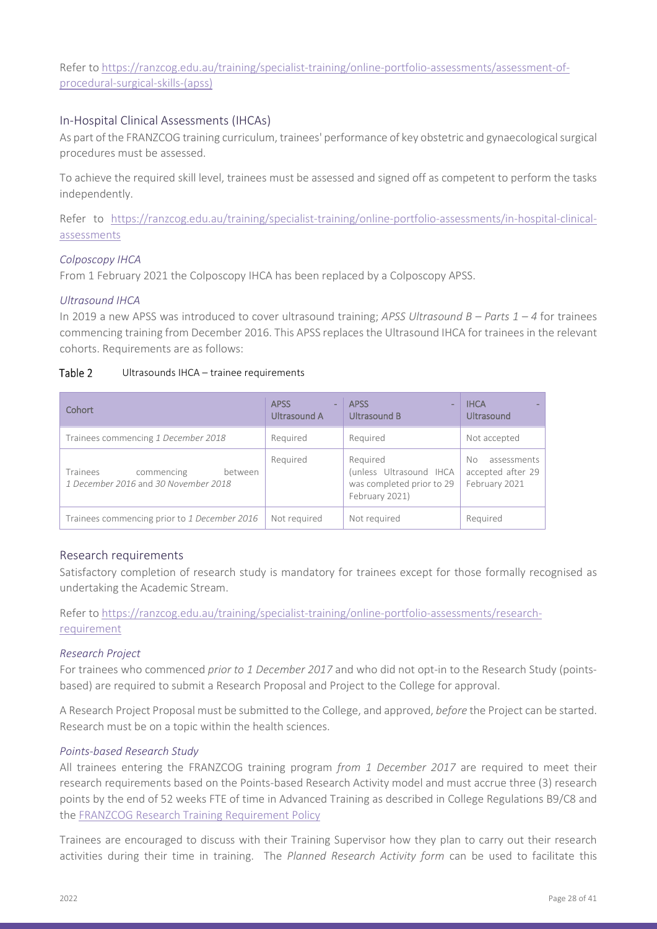Refer to [https://ranzcog.edu.au/training/specialist-training/online-portfolio-assessments/assessment-of](https://ranzcog.edu.au/training/specialist-training/online-portfolio-assessments/assessment-of-procedural-surgical-skills-(apss))[procedural-surgical-skills-\(apss\)](https://ranzcog.edu.au/training/specialist-training/online-portfolio-assessments/assessment-of-procedural-surgical-skills-(apss))

#### <span id="page-27-0"></span>In-Hospital Clinical Assessments (IHCAs)

As part of the FRANZCOG training curriculum, trainees' performance of key obstetric and gynaecological surgical procedures must be assessed.

To achieve the required skill level, trainees must be assessed and signed off as competent to perform the tasks independently.

Refer to [https://ranzcog.edu.au/training/specialist-training/online-portfolio-assessments/in-hospital-clinical](https://ranzcog.edu.au/training/specialist-training/online-portfolio-assessments/in-hospital-clinical-assessments)[assessments](https://ranzcog.edu.au/training/specialist-training/online-portfolio-assessments/in-hospital-clinical-assessments)

#### <span id="page-27-1"></span>*Colposcopy IHCA*

From 1 February 2021 the Colposcopy IHCA has been replaced by a Colposcopy APSS.

#### <span id="page-27-2"></span>*Ultrasound IHCA*

In 2019 a new APSS was introduced to cover ultrasound training; *APSS Ultrasound B – Parts 1 – 4* for trainees commencing training from December 2016. This APSS replaces the Ultrasound IHCA for trainees in the relevant cohorts. Requirements are as follows:

#### Table 2 Ultrasounds IHCA – trainee requirements

| Cohort                                       | <b>APSS</b>  | <b>APSS</b>               | <b>IHCA</b>       |
|----------------------------------------------|--------------|---------------------------|-------------------|
|                                              | Ultrasound A | Ultrasound B              | <b>Ultrasound</b> |
| Trainees commencing 1 December 2018          | Required     | Required                  | Not accepted      |
| Trainees                                     | Required     | Required                  | assessments       |
| between                                      |              | (unless Ultrasound IHCA   | No.               |
| commencing                                   |              | was completed prior to 29 | accepted after 29 |
| 1 December 2016 and 30 November 2018         |              | February 2021)            | February 2021     |
| Trainees commencing prior to 1 December 2016 | Not required | Not required              | Required          |

#### <span id="page-27-3"></span>Research requirements

Satisfactory completion of research study is mandatory for trainees except for those formally recognised as undertaking the Academic Stream.

Refer to [https://ranzcog.edu.au/training/specialist-training/online-portfolio-assessments/research](https://ranzcog.edu.au/training/specialist-training/online-portfolio-assessments/research-requirement)[requirement](https://ranzcog.edu.au/training/specialist-training/online-portfolio-assessments/research-requirement)

#### <span id="page-27-4"></span>*Research Project*

For trainees who commenced *prior to 1 December 2017* and who did not opt-in to the Research Study (pointsbased) are required to submit a Research Proposal and Project to the College for approval.

A Research Project Proposal must be submitted to the College, and approved, *before* the Project can be started. Research must be on a topic within the health sciences.

#### <span id="page-27-5"></span>*Points-based Research Study*

All trainees entering the FRANZCOG training program *from 1 December 2017* are required to meet their research requirements based on the Points-based Research Activity model and must accrue three (3) research points by the end of 52 weeks FTE of time in Advanced Training as described in College Regulations B9/C8 and the [FRANZCOG Research Training Requirement Policy](https://ranzcog.edu.au/RANZCOG_SITE/media/RANZCOG-MEDIA/Governance/Policies%20and%20Guidelines/FRANZCOG-Research-Requirement-Policy.pdf)

Trainees are encouraged to discuss with their Training Supervisor how they plan to carry out their research activities during their time in training. The *Planned Research Activity form* can be used to facilitate this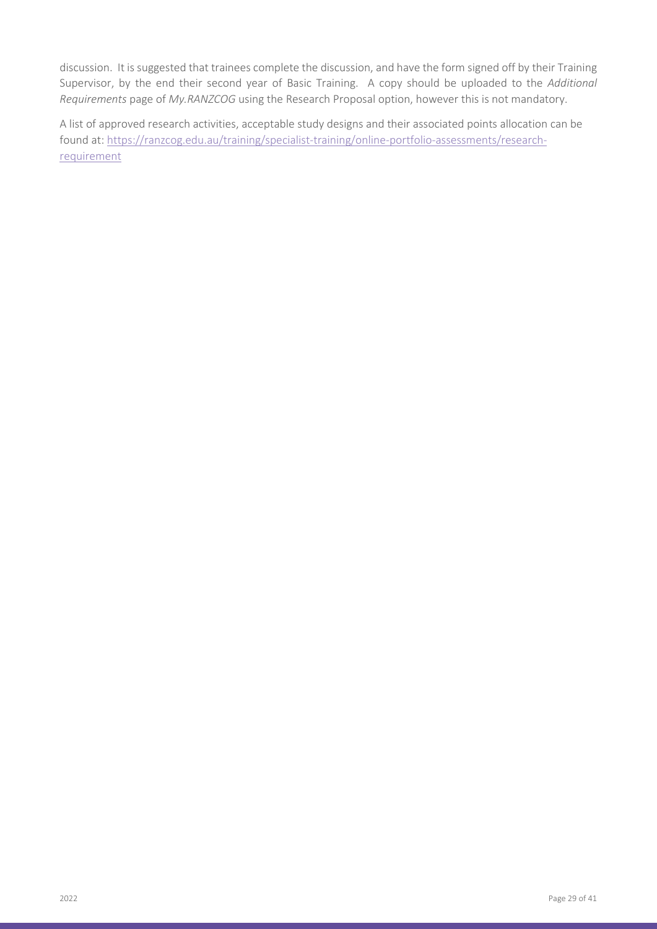discussion. It is suggested that trainees complete the discussion, and have the form signed off by their Training Supervisor, by the end their second year of Basic Training. A copy should be uploaded to the *Additional Requirements* page of *My.RANZCOG* using the Research Proposal option, however this is not mandatory.

A list of approved research activities, acceptable study designs and their associated points allocation can be found at: [https://ranzcog.edu.au/training/specialist-training/online-portfolio-assessments/research](https://ranzcog.edu.au/training/specialist-training/online-portfolio-assessments/research-requirement)[requirement](https://ranzcog.edu.au/training/specialist-training/online-portfolio-assessments/research-requirement)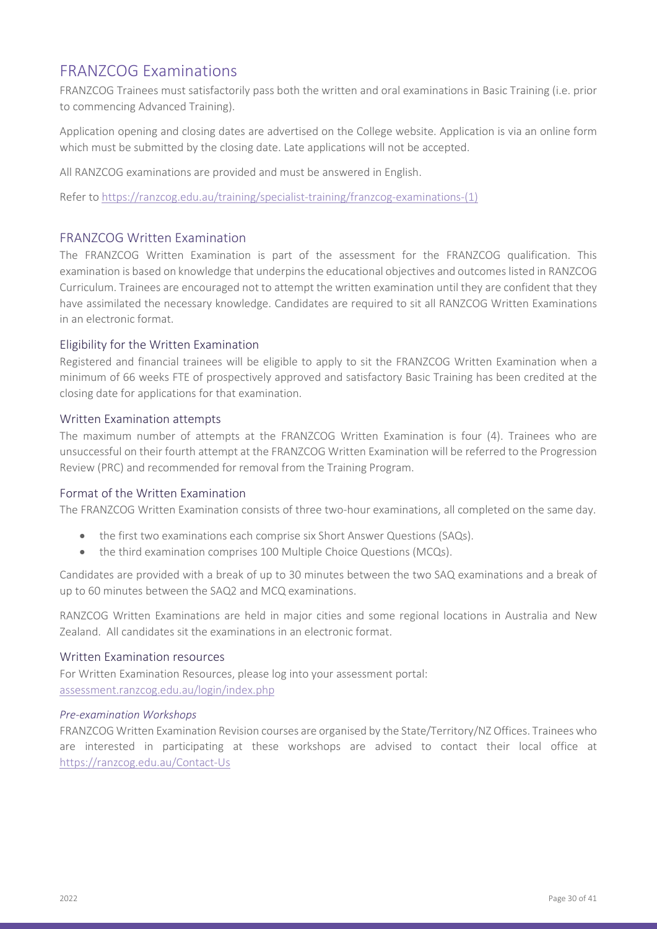### <span id="page-29-0"></span>FRANZCOG Examinations

FRANZCOG Trainees must satisfactorily pass both the written and oral examinations in Basic Training (i.e. prior to commencing Advanced Training).

Application opening and closing dates are advertised on the College website. Application is via an online form which must be submitted by the closing date. Late applications will not be accepted.

All RANZCOG examinations are provided and must be answered in English.

Refer to [https://ranzcog.edu.au/training/specialist-training/franzcog-examinations-\(1\)](https://ranzcog.edu.au/training/specialist-training/franzcog-examinations-(1))

#### <span id="page-29-1"></span>FRANZCOG Written Examination

The FRANZCOG Written Examination is part of the assessment for the FRANZCOG qualification. This examination is based on knowledge that underpins the educational objectives and outcomes listed in RANZCOG Curriculum. Trainees are encouraged not to attempt the written examination until they are confident that they have assimilated the necessary knowledge. Candidates are required to sit all RANZCOG Written Examinations in an electronic format.

#### <span id="page-29-2"></span>Eligibility for the Written Examination

Registered and financial trainees will be eligible to apply to sit the FRANZCOG Written Examination when a minimum of 66 weeks FTE of prospectively approved and satisfactory Basic Training has been credited at the closing date for applications for that examination.

#### <span id="page-29-3"></span>Written Examination attempts

The maximum number of attempts at the FRANZCOG Written Examination is four (4). Trainees who are unsuccessful on their fourth attempt at the FRANZCOG Written Examination will be referred to the Progression Review (PRC) and recommended for removal from the Training Program.

#### <span id="page-29-4"></span>Format of the Written Examination

The FRANZCOG Written Examination consists of three two-hour examinations, all completed on the same day.

- the first two examinations each comprise six Short Answer Questions (SAQs).
- the third examination comprises 100 Multiple Choice Questions (MCQs).

Candidates are provided with a break of up to 30 minutes between the two SAQ examinations and a break of up to 60 minutes between the SAQ2 and MCQ examinations.

RANZCOG Written Examinations are held in major cities and some regional locations in Australia and New Zealand. All candidates sit the examinations in an electronic format.

#### <span id="page-29-5"></span>Written Examination resources

For Written Examination Resources, please log into your assessment portal: [assessment.ranzcog.edu.au/login/index.php](https://assessment.ranzcog.edu.au/login/index.php)

#### <span id="page-29-6"></span>*Pre-examination Workshops*

FRANZCOG Written Examination Revision courses are organised by the State/Territory/NZ Offices. Trainees who are interested in participating at these workshops are advised to contact their local office at <https://ranzcog.edu.au/Contact-Us>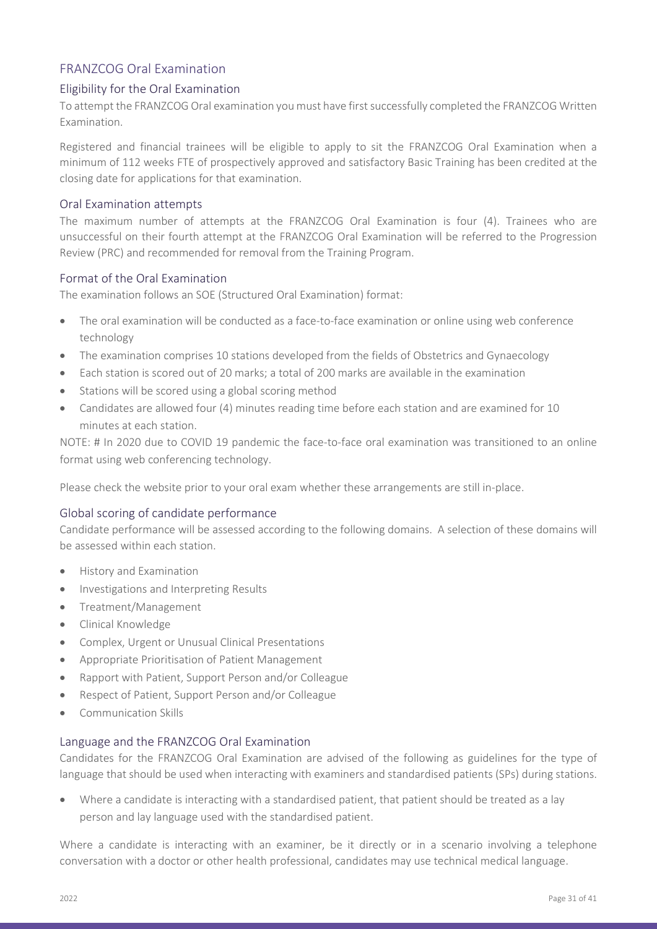### <span id="page-30-0"></span>FRANZCOG Oral Examination

#### <span id="page-30-1"></span>Eligibility for the Oral Examination

To attempt the FRANZCOG Oral examination you must have first successfully completed the FRANZCOG Written Examination.

Registered and financial trainees will be eligible to apply to sit the FRANZCOG Oral Examination when a minimum of 112 weeks FTE of prospectively approved and satisfactory Basic Training has been credited at the closing date for applications for that examination.

#### <span id="page-30-2"></span>Oral Examination attempts

The maximum number of attempts at the FRANZCOG Oral Examination is four (4). Trainees who are unsuccessful on their fourth attempt at the FRANZCOG Oral Examination will be referred to the Progression Review (PRC) and recommended for removal from the Training Program.

#### <span id="page-30-3"></span>Format of the Oral Examination

The examination follows an SOE (Structured Oral Examination) format:

- The oral examination will be conducted as a face-to-face examination or online using web conference technology
- The examination comprises 10 stations developed from the fields of Obstetrics and Gynaecology
- Each station is scored out of 20 marks; a total of 200 marks are available in the examination
- Stations will be scored using a global scoring method
- Candidates are allowed four (4) minutes reading time before each station and are examined for 10 minutes at each station.

NOTE: # In 2020 due to COVID 19 pandemic the face-to-face oral examination was transitioned to an online format using web conferencing technology.

Please check the website prior to your oral exam whether these arrangements are still in-place.

#### <span id="page-30-4"></span>Global scoring of candidate performance

Candidate performance will be assessed according to the following domains. A selection of these domains will be assessed within each station.

- History and Examination
- Investigations and Interpreting Results
- Treatment/Management
- Clinical Knowledge
- Complex, Urgent or Unusual Clinical Presentations
- Appropriate Prioritisation of Patient Management
- Rapport with Patient, Support Person and/or Colleague
- Respect of Patient, Support Person and/or Colleague
- Communication Skills

#### <span id="page-30-5"></span>Language and the FRANZCOG Oral Examination

Candidates for the FRANZCOG Oral Examination are advised of the following as guidelines for the type of language that should be used when interacting with examiners and standardised patients (SPs) during stations.

• Where a candidate is interacting with a standardised patient, that patient should be treated as a lay person and lay language used with the standardised patient.

Where a candidate is interacting with an examiner, be it directly or in a scenario involving a telephone conversation with a doctor or other health professional, candidates may use technical medical language.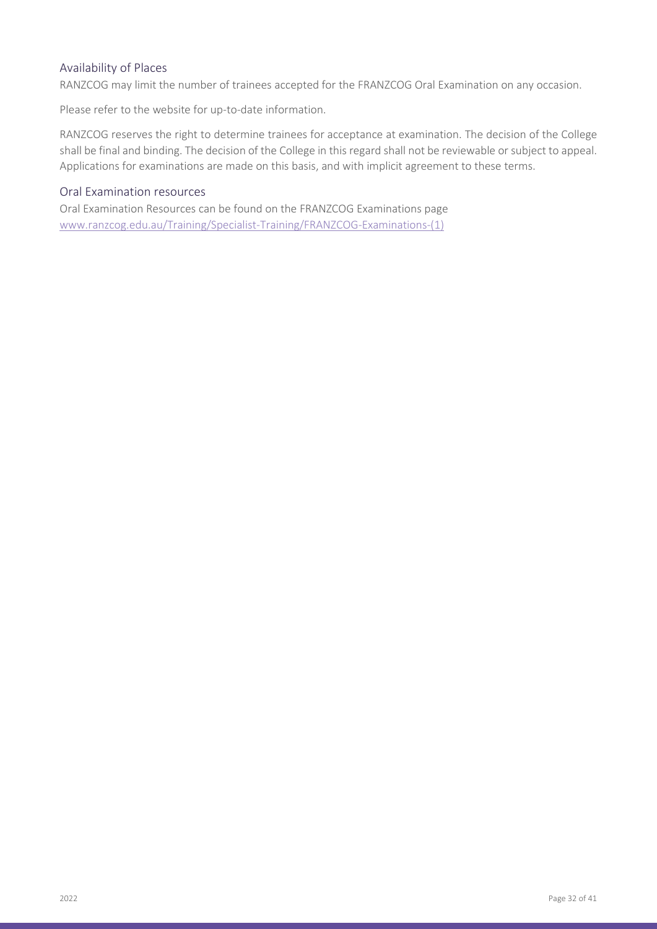#### <span id="page-31-0"></span>Availability of Places

RANZCOG may limit the number of trainees accepted for the FRANZCOG Oral Examination on any occasion.

Please refer to the website for up-to-date information.

RANZCOG reserves the right to determine trainees for acceptance at examination. The decision of the College shall be final and binding. The decision of the College in this regard shall not be reviewable or subject to appeal. Applications for examinations are made on this basis, and with implicit agreement to these terms.

#### <span id="page-31-1"></span>Oral Examination resources

Oral Examination Resources can be found on the FRANZCOG Examinations page [www.ranzcog.edu.au/Training/Specialist-Training/FRANZCOG-Examinations-\(1\)](http://www.ranzcog.edu.au/Training/Specialist-Training/FRANZCOG-Examinations-(1))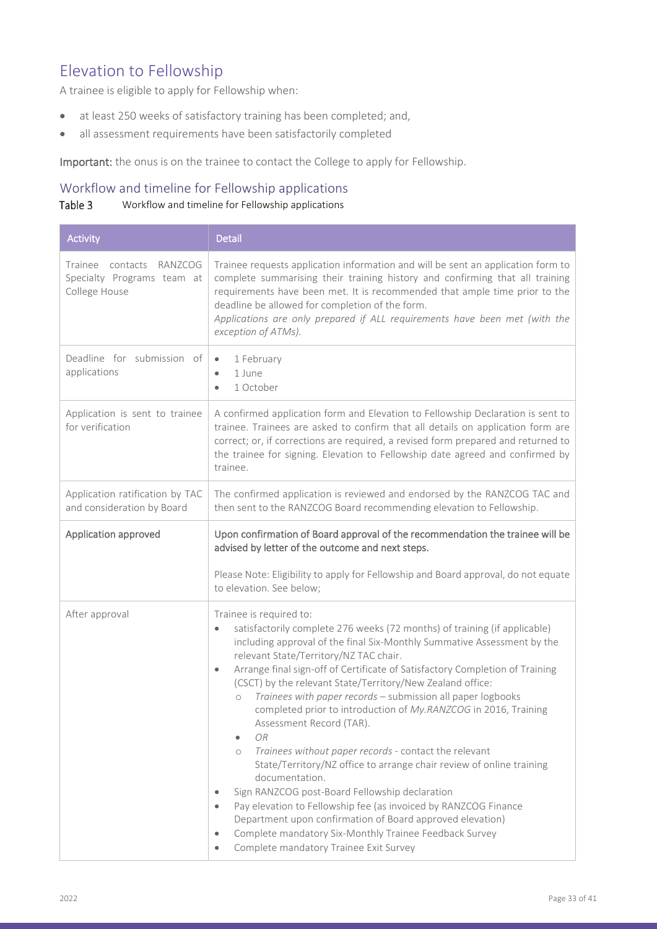## <span id="page-32-0"></span>Elevation to Fellowship

A trainee is eligible to apply for Fellowship when:

- at least 250 weeks of satisfactory training has been completed; and,
- all assessment requirements have been satisfactorily completed

Important: the onus is on the trainee to contact the College to apply for Fellowship.

### <span id="page-32-1"></span>Workflow and timeline for Fellowship applications

#### Table 3 Workflow and timeline for Fellowship applications

| <b>Activity</b>                                                               | <b>Detail</b>                                                                                                                                                                                                                                                                                                                                                                                                                                                                                                                                                                                                                                                                                                                                                                                                                                                                                                                                                                                                                                                                        |  |
|-------------------------------------------------------------------------------|--------------------------------------------------------------------------------------------------------------------------------------------------------------------------------------------------------------------------------------------------------------------------------------------------------------------------------------------------------------------------------------------------------------------------------------------------------------------------------------------------------------------------------------------------------------------------------------------------------------------------------------------------------------------------------------------------------------------------------------------------------------------------------------------------------------------------------------------------------------------------------------------------------------------------------------------------------------------------------------------------------------------------------------------------------------------------------------|--|
| Trainee<br>contacts<br>RANZCOG<br>Specialty Programs team at<br>College House | Trainee requests application information and will be sent an application form to<br>complete summarising their training history and confirming that all training<br>requirements have been met. It is recommended that ample time prior to the<br>deadline be allowed for completion of the form.<br>Applications are only prepared if ALL requirements have been met (with the<br>exception of ATMs).                                                                                                                                                                                                                                                                                                                                                                                                                                                                                                                                                                                                                                                                               |  |
| Deadline for submission of<br>applications                                    | 1 February<br>$\bullet$<br>1 June<br>$\bullet$<br>1 October<br>$\bullet$                                                                                                                                                                                                                                                                                                                                                                                                                                                                                                                                                                                                                                                                                                                                                                                                                                                                                                                                                                                                             |  |
| Application is sent to trainee<br>for verification                            | A confirmed application form and Elevation to Fellowship Declaration is sent to<br>trainee. Trainees are asked to confirm that all details on application form are<br>correct; or, if corrections are required, a revised form prepared and returned to<br>the trainee for signing. Elevation to Fellowship date agreed and confirmed by<br>trainee.                                                                                                                                                                                                                                                                                                                                                                                                                                                                                                                                                                                                                                                                                                                                 |  |
| Application ratification by TAC<br>and consideration by Board                 | The confirmed application is reviewed and endorsed by the RANZCOG TAC and<br>then sent to the RANZCOG Board recommending elevation to Fellowship.                                                                                                                                                                                                                                                                                                                                                                                                                                                                                                                                                                                                                                                                                                                                                                                                                                                                                                                                    |  |
| Application approved                                                          | Upon confirmation of Board approval of the recommendation the trainee will be<br>advised by letter of the outcome and next steps.                                                                                                                                                                                                                                                                                                                                                                                                                                                                                                                                                                                                                                                                                                                                                                                                                                                                                                                                                    |  |
|                                                                               | Please Note: Eligibility to apply for Fellowship and Board approval, do not equate<br>to elevation. See below;                                                                                                                                                                                                                                                                                                                                                                                                                                                                                                                                                                                                                                                                                                                                                                                                                                                                                                                                                                       |  |
| After approval                                                                | Trainee is required to:<br>satisfactorily complete 276 weeks (72 months) of training (if applicable)<br>$\bullet$<br>including approval of the final Six-Monthly Summative Assessment by the<br>relevant State/Territory/NZ TAC chair.<br>Arrange final sign-off of Certificate of Satisfactory Completion of Training<br>$\bullet$<br>(CSCT) by the relevant State/Territory/New Zealand office:<br>Trainees with paper records - submission all paper logbooks<br>$\bigcirc$<br>completed prior to introduction of My.RANZCOG in 2016, Training<br>Assessment Record (TAR).<br>OR.<br>Trainees without paper records - contact the relevant<br>$\circ$<br>State/Territory/NZ office to arrange chair review of online training<br>documentation.<br>Sign RANZCOG post-Board Fellowship declaration<br>۰<br>Pay elevation to Fellowship fee (as invoiced by RANZCOG Finance<br>$\bullet$<br>Department upon confirmation of Board approved elevation)<br>Complete mandatory Six-Monthly Trainee Feedback Survey<br>$\bullet$<br>Complete mandatory Trainee Exit Survey<br>$\bullet$ |  |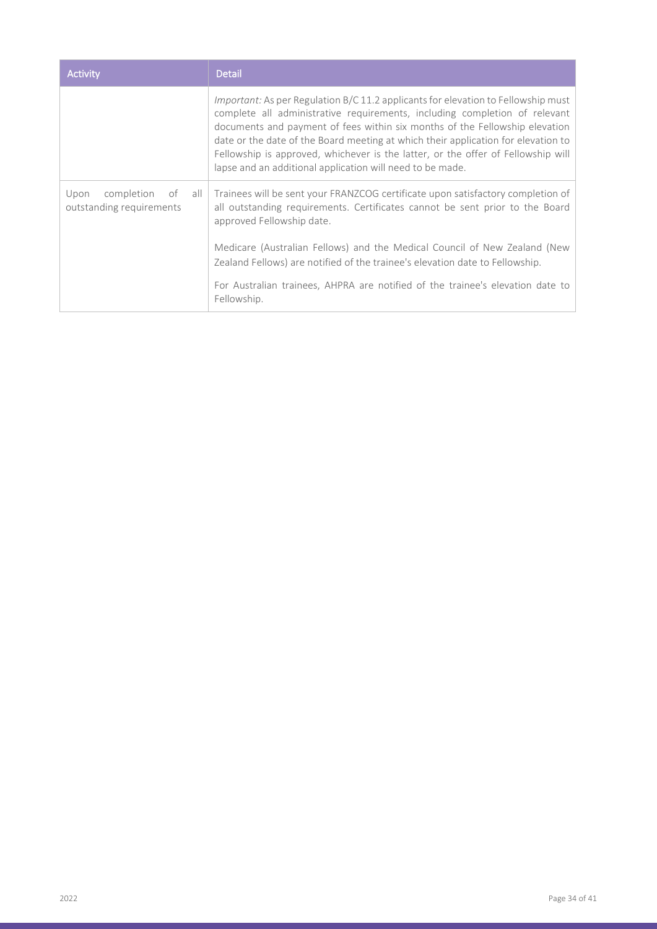| Activity                                                    | <b>Detail</b>                                                                                                                                                                                                                                                                                                                                                                                                                                                                        |
|-------------------------------------------------------------|--------------------------------------------------------------------------------------------------------------------------------------------------------------------------------------------------------------------------------------------------------------------------------------------------------------------------------------------------------------------------------------------------------------------------------------------------------------------------------------|
|                                                             | Important: As per Regulation B/C 11.2 applicants for elevation to Fellowship must<br>complete all administrative requirements, including completion of relevant<br>documents and payment of fees within six months of the Fellowship elevation<br>date or the date of the Board meeting at which their application for elevation to<br>Fellowship is approved, whichever is the latter, or the offer of Fellowship will<br>lapse and an additional application will need to be made. |
| completion<br>Upon<br>of<br>all<br>outstanding requirements | Trainees will be sent your FRANZCOG certificate upon satisfactory completion of<br>all outstanding requirements. Certificates cannot be sent prior to the Board<br>approved Fellowship date.                                                                                                                                                                                                                                                                                         |
|                                                             | Medicare (Australian Fellows) and the Medical Council of New Zealand (New<br>Zealand Fellows) are notified of the trainee's elevation date to Fellowship.                                                                                                                                                                                                                                                                                                                            |
|                                                             | For Australian trainees, AHPRA are notified of the trainee's elevation date to<br>Fellowship.                                                                                                                                                                                                                                                                                                                                                                                        |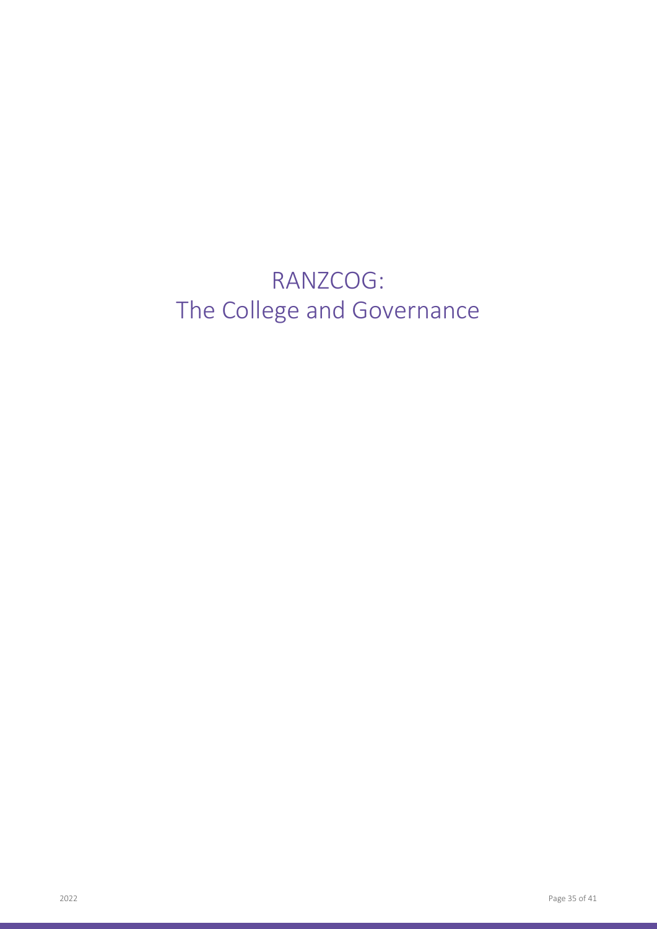# RANZCOG: The College and Governance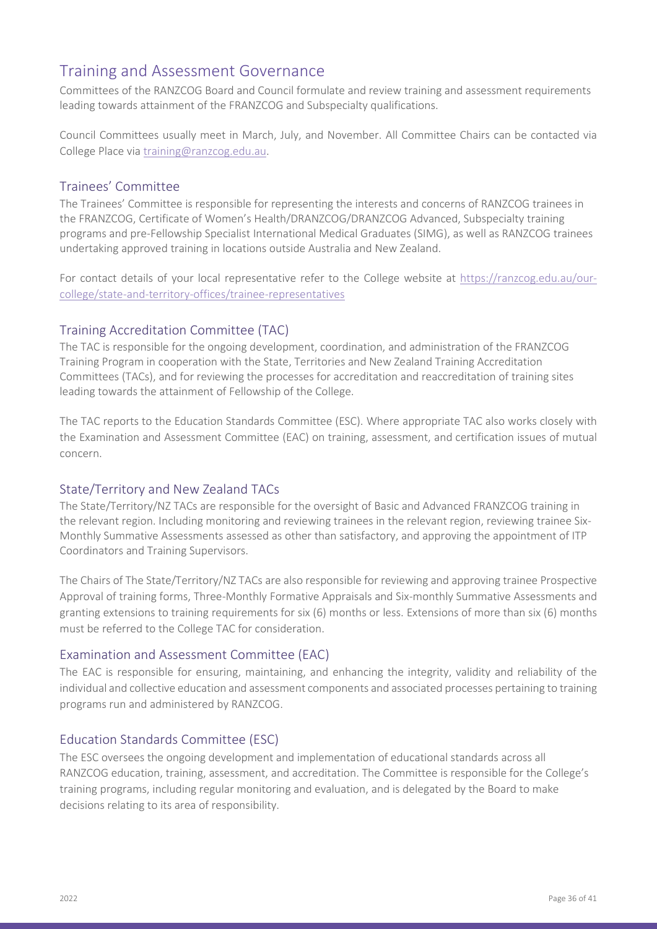### <span id="page-35-0"></span>Training and Assessment Governance

Committees of the RANZCOG Board and Council formulate and review training and assessment requirements leading towards attainment of the FRANZCOG and Subspecialty qualifications.

Council Committees usually meet in March, July, and November. All Committee Chairs can be contacted via College Place via [training@ranzcog.edu.au.](mailto:training@ranzcog.edu.au)

#### <span id="page-35-1"></span>Trainees' Committee

The Trainees' Committee is responsible for representing the interests and concerns of RANZCOG trainees in the FRANZCOG, Certificate of Women's Health/DRANZCOG/DRANZCOG Advanced, Subspecialty training programs and pre-Fellowship Specialist International Medical Graduates (SIMG), as well as RANZCOG trainees undertaking approved training in locations outside Australia and New Zealand.

For contact details of your local representative refer to the College website at [https://ranzcog.edu.au/our](https://ranzcog.edu.au/our-college/state-and-territory-offices/trainee-representatives)[college/state-and-territory-offices/trainee-representatives](https://ranzcog.edu.au/our-college/state-and-territory-offices/trainee-representatives)

#### <span id="page-35-2"></span>Training Accreditation Committee (TAC)

The TAC is responsible for the ongoing development, coordination, and administration of the FRANZCOG Training Program in cooperation with the State, Territories and New Zealand Training Accreditation Committees (TACs), and for reviewing the processes for accreditation and reaccreditation of training sites leading towards the attainment of Fellowship of the College.

The TAC reports to the Education Standards Committee (ESC). Where appropriate TAC also works closely with the Examination and Assessment Committee (EAC) on training, assessment, and certification issues of mutual concern.

#### <span id="page-35-3"></span>State/Territory and New Zealand TACs

The State/Territory/NZ TACs are responsible for the oversight of Basic and Advanced FRANZCOG training in the relevant region. Including monitoring and reviewing trainees in the relevant region, reviewing trainee Six-Monthly Summative Assessments assessed as other than satisfactory, and approving the appointment of ITP Coordinators and Training Supervisors.

The Chairs of The State/Territory/NZ TACs are also responsible for reviewing and approving trainee Prospective Approval of training forms, Three-Monthly Formative Appraisals and Six-monthly Summative Assessments and granting extensions to training requirements for six (6) months or less. Extensions of more than six (6) months must be referred to the College TAC for consideration.

#### <span id="page-35-4"></span>Examination and Assessment Committee (EAC)

The EAC is responsible for ensuring, maintaining, and enhancing the integrity, validity and reliability of the individual and collective education and assessment components and associated processes pertaining to training programs run and administered by RANZCOG.

#### <span id="page-35-5"></span>Education Standards Committee (ESC)

The ESC oversees the ongoing development and implementation of educational standards across all RANZCOG education, training, assessment, and accreditation. The Committee is responsible for the College's training programs, including regular monitoring and evaluation, and is delegated by the Board to make decisions relating to its area of responsibility.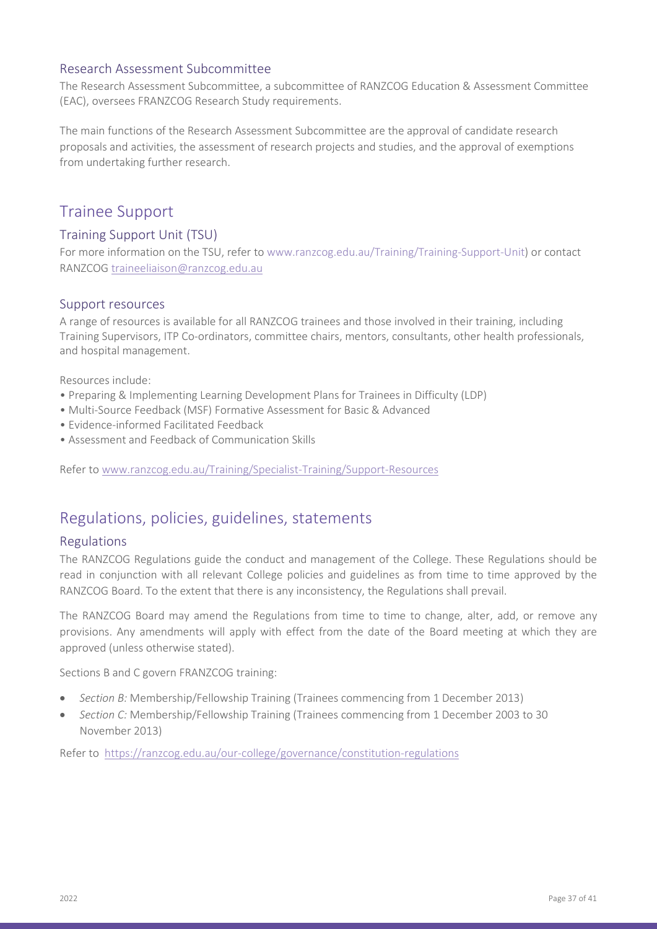#### <span id="page-36-0"></span>Research Assessment Subcommittee

The Research Assessment Subcommittee, a subcommittee of RANZCOG Education & Assessment Committee (EAC), oversees FRANZCOG Research Study requirements.

The main functions of the Research Assessment Subcommittee are the approval of candidate research proposals and activities, the assessment of research projects and studies, and the approval of exemptions from undertaking further research.

### <span id="page-36-1"></span>Trainee Support

### <span id="page-36-2"></span>Training Support Unit (TSU)

For more information on the TSU, refer to www.ranzcog.edu.au/Training/Training-Support-Unit) or contact RANZCOG [traineeliaison@ranzcog.edu.au](mailto:traineeliaison@ranzcog.edu.au)

#### <span id="page-36-3"></span>Support resources

A range of resources is available for all RANZCOG trainees and those involved in their training, including Training Supervisors, ITP Co-ordinators, committee chairs, mentors, consultants, other health professionals, and hospital management.

Resources include:

- Preparing & Implementing Learning Development Plans for Trainees in Difficulty (LDP)
- Multi-Source Feedback (MSF) Formative Assessment for Basic & Advanced
- Evidence-informed Facilitated Feedback
- Assessment and Feedback of Communication Skills

Refer to [www.ranzcog.edu.au/Training/Specialist-Training/Support-Resources](http://www.ranzcog.edu.au/Training/Specialist-Training/Support-Resources)

### <span id="page-36-4"></span>Regulations, policies, guidelines, statements

#### <span id="page-36-5"></span>Regulations

The RANZCOG Regulations guide the conduct and management of the College. These Regulations should be read in conjunction with all relevant College policies and guidelines as from time to time approved by the RANZCOG Board. To the extent that there is any inconsistency, the Regulations shall prevail.

The RANZCOG Board may amend the Regulations from time to time to change, alter, add, or remove any provisions. Any amendments will apply with effect from the date of the Board meeting at which they are approved (unless otherwise stated).

Sections B and C govern FRANZCOG training:

- *Section B:* Membership/Fellowship Training (Trainees commencing from 1 December 2013)
- *Section C:* Membership/Fellowship Training (Trainees commencing from 1 December 2003 to 30 November 2013)

Refer to <https://ranzcog.edu.au/our-college/governance/constitution-regulations>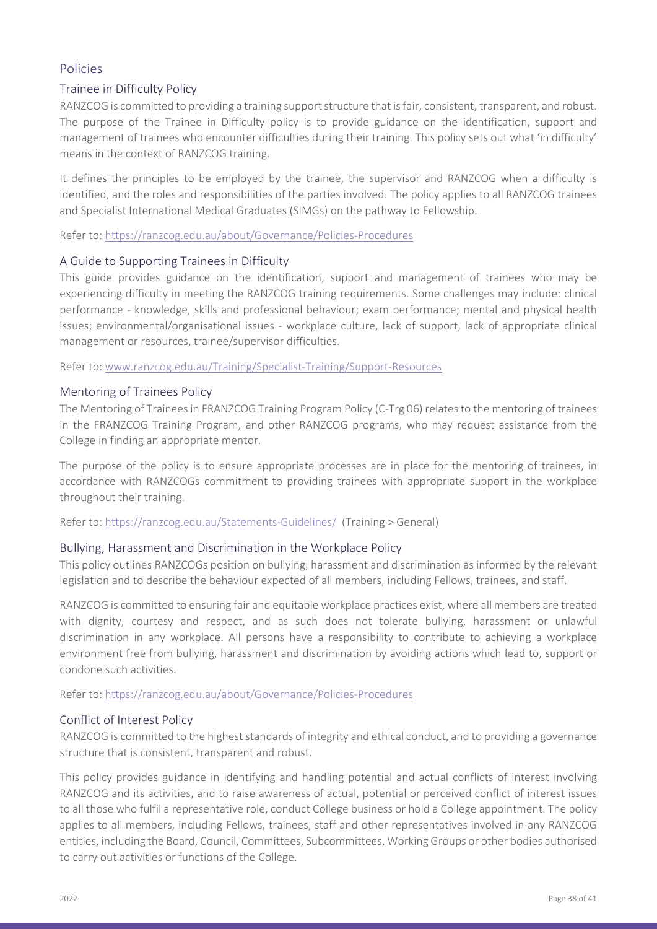### <span id="page-37-0"></span>Policies

#### <span id="page-37-1"></span>Trainee in Difficulty Policy

RANZCOG is committed to providing a training support structure that is fair, consistent, transparent, and robust. The purpose of the Trainee in Difficulty policy is to provide guidance on the identification, support and management of trainees who encounter difficulties during their training. This policy sets out what 'in difficulty' means in the context of RANZCOG training.

It defines the principles to be employed by the trainee, the supervisor and RANZCOG when a difficulty is identified, and the roles and responsibilities of the parties involved. The policy applies to all RANZCOG trainees and Specialist International Medical Graduates (SIMGs) on the pathway to Fellowship.

Refer to:<https://ranzcog.edu.au/about/Governance/Policies-Procedures>

#### <span id="page-37-2"></span>A Guide to Supporting Trainees in Difficulty

This guide provides guidance on the identification, support and management of trainees who may be experiencing difficulty in meeting the RANZCOG training requirements. Some challenges may include: clinical performance - knowledge, skills and professional behaviour; exam performance; mental and physical health issues; environmental/organisational issues - workplace culture, lack of support, lack of appropriate clinical management or resources, trainee/supervisor difficulties.

Refer to: [www.ranzcog.edu.au/Training/Specialist-Training/Support-Resources](http://www.ranzcog.edu.au/Training/Specialist-Training/Support-Resources)

#### <span id="page-37-3"></span>Mentoring of Trainees Policy

The Mentoring of Trainees in FRANZCOG Training Program Policy (C-Trg 06) relates to the mentoring of trainees in the FRANZCOG Training Program, and other RANZCOG programs, who may request assistance from the College in finding an appropriate mentor.

The purpose of the policy is to ensure appropriate processes are in place for the mentoring of trainees, in accordance with RANZCOGs commitment to providing trainees with appropriate support in the workplace throughout their training.

Refer to:<https://ranzcog.edu.au/Statements-Guidelines/>(Training > General)

#### <span id="page-37-4"></span>Bullying, Harassment and Discrimination in the Workplace Policy

This policy outlines RANZCOGs position on bullying, harassment and discrimination as informed by the relevant legislation and to describe the behaviour expected of all members, including Fellows, trainees, and staff.

RANZCOG is committed to ensuring fair and equitable workplace practices exist, where all members are treated with dignity, courtesy and respect, and as such does not tolerate bullying, harassment or unlawful discrimination in any workplace. All persons have a responsibility to contribute to achieving a workplace environment free from bullying, harassment and discrimination by avoiding actions which lead to, support or condone such activities.

Refer to:<https://ranzcog.edu.au/about/Governance/Policies-Procedures>

#### <span id="page-37-5"></span>Conflict of Interest Policy

RANZCOG is committed to the highest standards of integrity and ethical conduct, and to providing a governance structure that is consistent, transparent and robust.

This policy provides guidance in identifying and handling potential and actual conflicts of interest involving RANZCOG and its activities, and to raise awareness of actual, potential or perceived conflict of interest issues to all those who fulfil a representative role, conduct College business or hold a College appointment. The policy applies to all members, including Fellows, trainees, staff and other representatives involved in any RANZCOG entities, including the Board, Council, Committees, Subcommittees, Working Groups or other bodies authorised to carry out activities or functions of the College.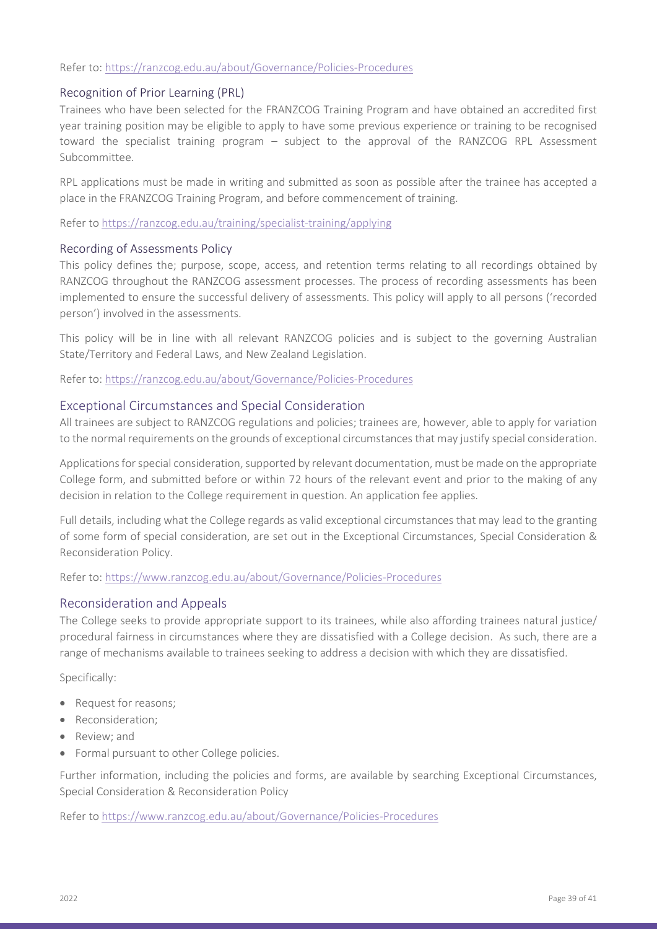#### Refer to:<https://ranzcog.edu.au/about/Governance/Policies-Procedures>

#### <span id="page-38-0"></span>Recognition of Prior Learning (PRL)

Trainees who have been selected for the FRANZCOG Training Program and have obtained an accredited first year training position may be eligible to apply to have some previous experience or training to be recognised toward the specialist training program – subject to the approval of the RANZCOG RPL Assessment Subcommittee.

RPL applications must be made in writing and submitted as soon as possible after the trainee has accepted a place in the FRANZCOG Training Program, and before commencement of training.

Refer to<https://ranzcog.edu.au/training/specialist-training/applying>

#### <span id="page-38-1"></span>Recording of Assessments Policy

This policy defines the; purpose, scope, access, and retention terms relating to all recordings obtained by RANZCOG throughout the RANZCOG assessment processes. The process of recording assessments has been implemented to ensure the successful delivery of assessments. This policy will apply to all persons ('recorded person') involved in the assessments.

This policy will be in line with all relevant RANZCOG policies and is subject to the governing Australian State/Territory and Federal Laws, and New Zealand Legislation.

Refer to:<https://ranzcog.edu.au/about/Governance/Policies-Procedures>

#### <span id="page-38-2"></span>Exceptional Circumstances and Special Consideration

All trainees are subject to RANZCOG regulations and policies; trainees are, however, able to apply for variation to the normal requirements on the grounds of exceptional circumstances that may justify special consideration.

Applications for special consideration, supported by relevant documentation, must be made on the appropriate College form, and submitted before or within 72 hours of the relevant event and prior to the making of any decision in relation to the College requirement in question. An application fee applies.

Full details, including what the College regards as valid exceptional circumstances that may lead to the granting of some form of special consideration, are set out in the Exceptional Circumstances, Special Consideration & Reconsideration Policy.

Refer to:<https://www.ranzcog.edu.au/about/Governance/Policies-Procedures>

#### <span id="page-38-3"></span>Reconsideration and Appeals

The College seeks to provide appropriate support to its trainees, while also affording trainees natural justice/ procedural fairness in circumstances where they are dissatisfied with a College decision. As such, there are a range of mechanisms available to trainees seeking to address a decision with which they are dissatisfied.

Specifically:

- Request for reasons;
- Reconsideration;
- Review; and
- Formal pursuant to other College policies.

Further information, including the policies and forms, are available by searching Exceptional Circumstances, Special Consideration & Reconsideration Policy

Refer to<https://www.ranzcog.edu.au/about/Governance/Policies-Procedures>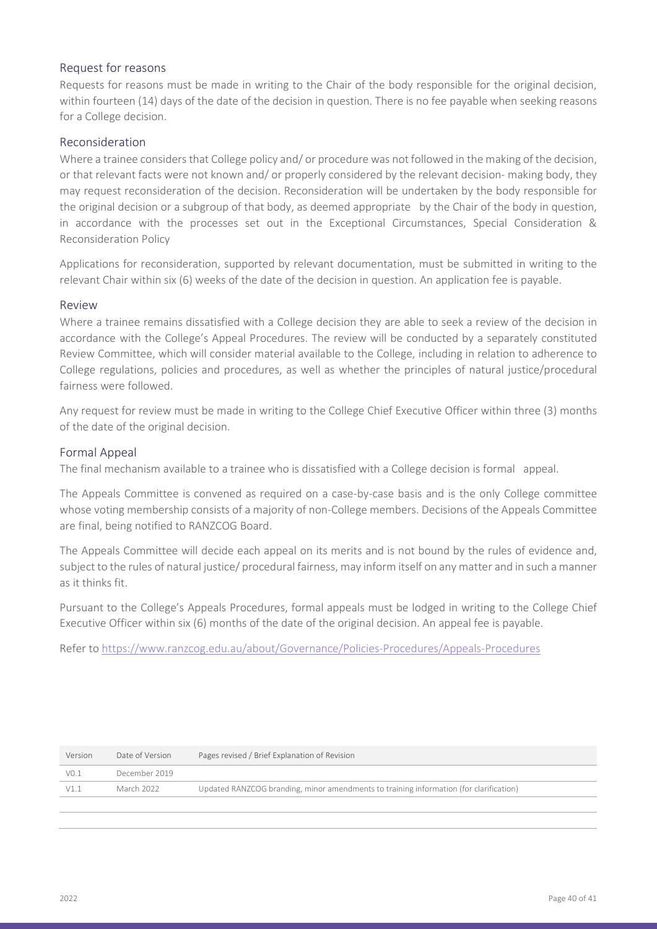#### <span id="page-39-0"></span>Request for reasons

Requests for reasons must be made in writing to the Chair of the body responsible for the original decision, within fourteen (14) days of the date of the decision in question. There is no fee payable when seeking reasons for a College decision.

#### <span id="page-39-1"></span>Reconsideration

Where a trainee considers that College policy and/ or procedure was not followed in the making of the decision, or that relevant facts were not known and/ or properly considered by the relevant decision- making body, they may request reconsideration of the decision. Reconsideration will be undertaken by the body responsible for the original decision or a subgroup of that body, as deemed appropriate by the Chair of the body in question, in accordance with the processes set out in the Exceptional Circumstances, Special Consideration & Reconsideration Policy

Applications for reconsideration, supported by relevant documentation, must be submitted in writing to the relevant Chair within six (6) weeks of the date of the decision in question. An application fee is payable.

#### <span id="page-39-2"></span>Review

Where a trainee remains dissatisfied with a College decision they are able to seek a review of the decision in accordance with the College's Appeal Procedures. The review will be conducted by a separately constituted Review Committee, which will consider material available to the College, including in relation to adherence to College regulations, policies and procedures, as well as whether the principles of natural justice/procedural fairness were followed.

Any request for review must be made in writing to the College Chief Executive Officer within three (3) months of the date of the original decision.

#### <span id="page-39-3"></span>Formal Appeal

The final mechanism available to a trainee who is dissatisfied with a College decision is formal appeal.

The Appeals Committee is convened as required on a case-by-case basis and is the only College committee whose voting membership consists of a majority of non-College members. Decisions of the Appeals Committee are final, being notified to RANZCOG Board.

The Appeals Committee will decide each appeal on its merits and is not bound by the rules of evidence and, subject to the rules of natural justice/ procedural fairness, may inform itself on any matter and in such a manner as it thinks fit.

Pursuant to the College's Appeals Procedures, formal appeals must be lodged in writing to the College Chief Executive Officer within six (6) months of the date of the original decision. An appeal fee is payable.

Refer to<https://www.ranzcog.edu.au/about/Governance/Policies-Procedures/Appeals-Procedures>

| Version          | Date of Version | Pages revised / Brief Explanation of Revision                                          |
|------------------|-----------------|----------------------------------------------------------------------------------------|
| V <sub>0.1</sub> | December 2019   |                                                                                        |
| V1.1             | March 2022      | Updated RANZCOG branding, minor amendments to training information (for clarification) |